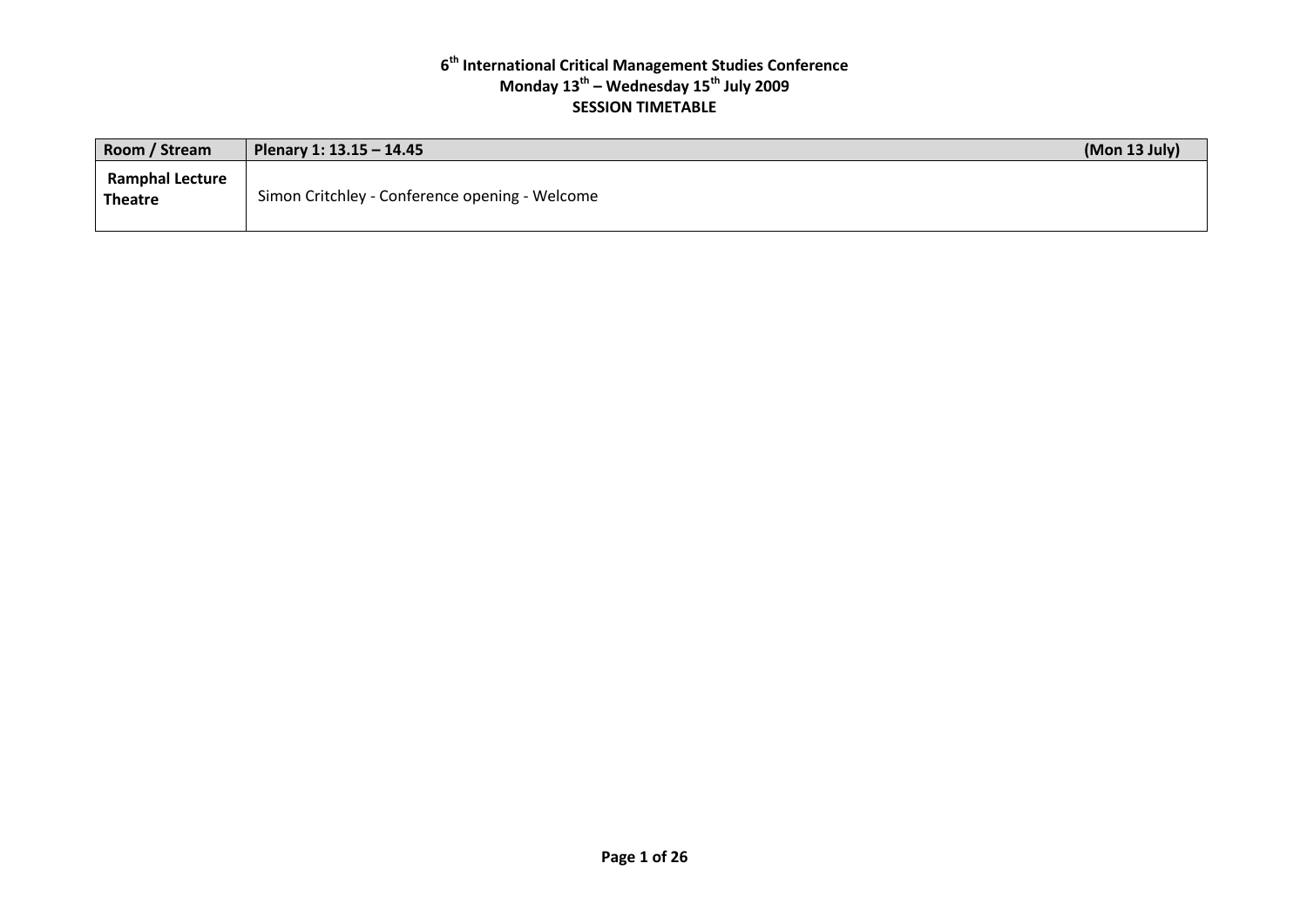| Room / Stream                            | Plenary 1: 13.15 - 14.45                       | (Mon 13 July) |
|------------------------------------------|------------------------------------------------|---------------|
| <b>Ramphal Lecture</b><br><b>Theatre</b> | Simon Critchley - Conference opening - Welcome |               |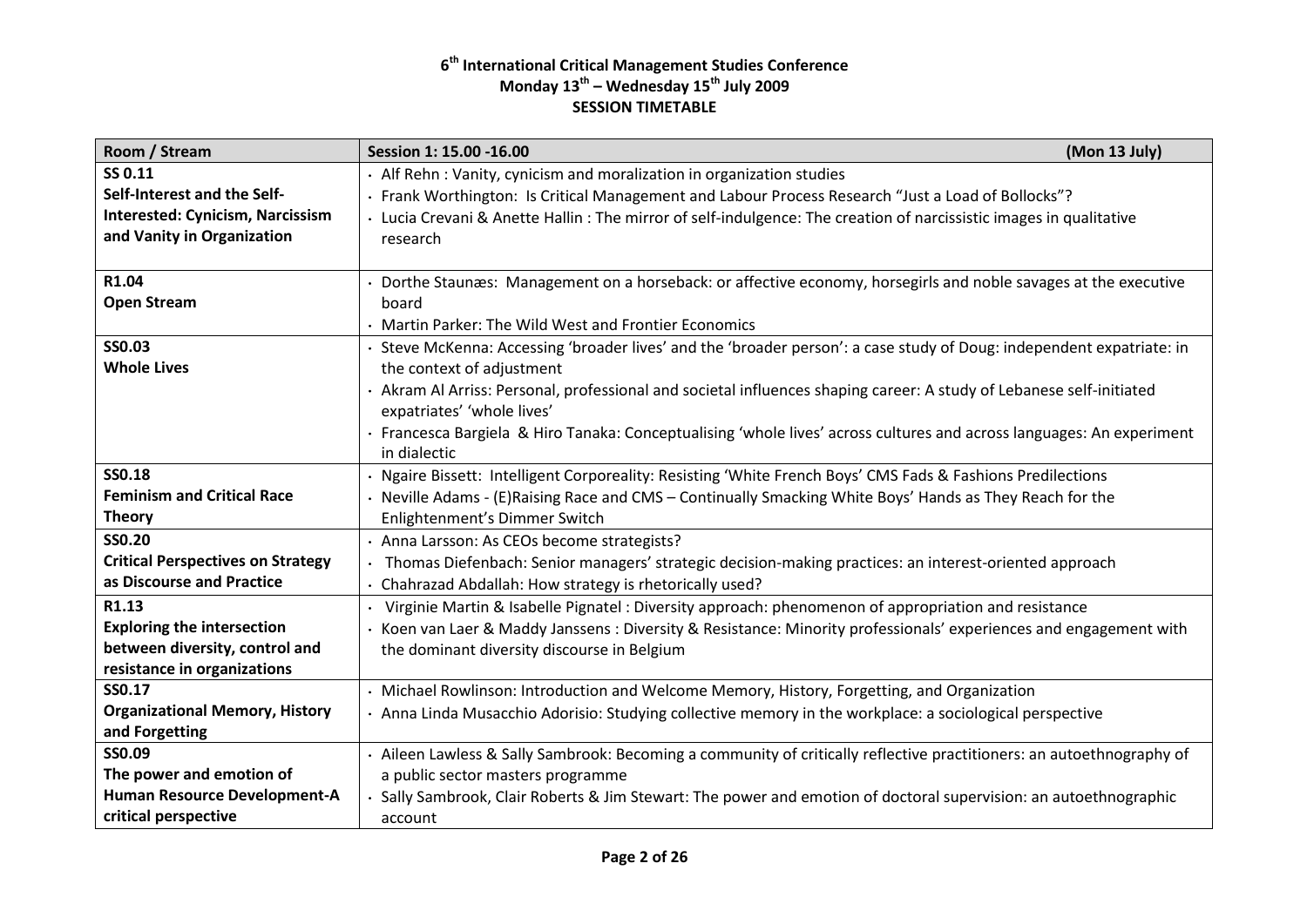| Room / Stream                            | (Mon 13 July)<br>Session 1: 15.00 -16.00                                                                              |
|------------------------------------------|-----------------------------------------------------------------------------------------------------------------------|
| SS 0.11                                  | · Alf Rehn: Vanity, cynicism and moralization in organization studies                                                 |
| Self-Interest and the Self-              | · Frank Worthington: Is Critical Management and Labour Process Research "Just a Load of Bollocks"?                    |
| <b>Interested: Cynicism, Narcissism</b>  | · Lucia Crevani & Anette Hallin: The mirror of self-indulgence: The creation of narcissistic images in qualitative    |
| and Vanity in Organization               | research                                                                                                              |
|                                          |                                                                                                                       |
| R1.04                                    | Dorthe Staunæs: Management on a horseback: or affective economy, horsegirls and noble savages at the executive        |
| <b>Open Stream</b>                       | board                                                                                                                 |
|                                          | · Martin Parker: The Wild West and Frontier Economics                                                                 |
| <b>SSO.03</b>                            | Steve McKenna: Accessing 'broader lives' and the 'broader person': a case study of Doug: independent expatriate: in   |
| <b>Whole Lives</b>                       | the context of adjustment                                                                                             |
|                                          | · Akram Al Arriss: Personal, professional and societal influences shaping career: A study of Lebanese self-initiated  |
|                                          | expatriates' 'whole lives'                                                                                            |
|                                          | · Francesca Bargiela & Hiro Tanaka: Conceptualising 'whole lives' across cultures and across languages: An experiment |
|                                          | in dialectic                                                                                                          |
| <b>SS0.18</b>                            | · Ngaire Bissett: Intelligent Corporeality: Resisting 'White French Boys' CMS Fads & Fashions Predilections           |
| <b>Feminism and Critical Race</b>        | · Neville Adams - (E)Raising Race and CMS – Continually Smacking White Boys' Hands as They Reach for the              |
| <b>Theory</b>                            | Enlightenment's Dimmer Switch                                                                                         |
| <b>SSO.20</b>                            | · Anna Larsson: As CEOs become strategists?                                                                           |
| <b>Critical Perspectives on Strategy</b> | Thomas Diefenbach: Senior managers' strategic decision-making practices: an interest-oriented approach                |
| as Discourse and Practice                | · Chahrazad Abdallah: How strategy is rhetorically used?                                                              |
| R1.13                                    | Virginie Martin & Isabelle Pignatel : Diversity approach: phenomenon of appropriation and resistance                  |
| <b>Exploring the intersection</b>        | Koen van Laer & Maddy Janssens : Diversity & Resistance: Minority professionals' experiences and engagement with      |
| between diversity, control and           | the dominant diversity discourse in Belgium                                                                           |
| resistance in organizations              |                                                                                                                       |
| SS0.17                                   | · Michael Rowlinson: Introduction and Welcome Memory, History, Forgetting, and Organization                           |
| <b>Organizational Memory, History</b>    | · Anna Linda Musacchio Adorisio: Studying collective memory in the workplace: a sociological perspective              |
| and Forgetting                           |                                                                                                                       |
| SS0.09                                   | · Aileen Lawless & Sally Sambrook: Becoming a community of critically reflective practitioners: an autoethnography of |
| The power and emotion of                 | a public sector masters programme                                                                                     |
| Human Resource Development-A             | Sally Sambrook, Clair Roberts & Jim Stewart: The power and emotion of doctoral supervision: an autoethnographic       |
| critical perspective                     | account                                                                                                               |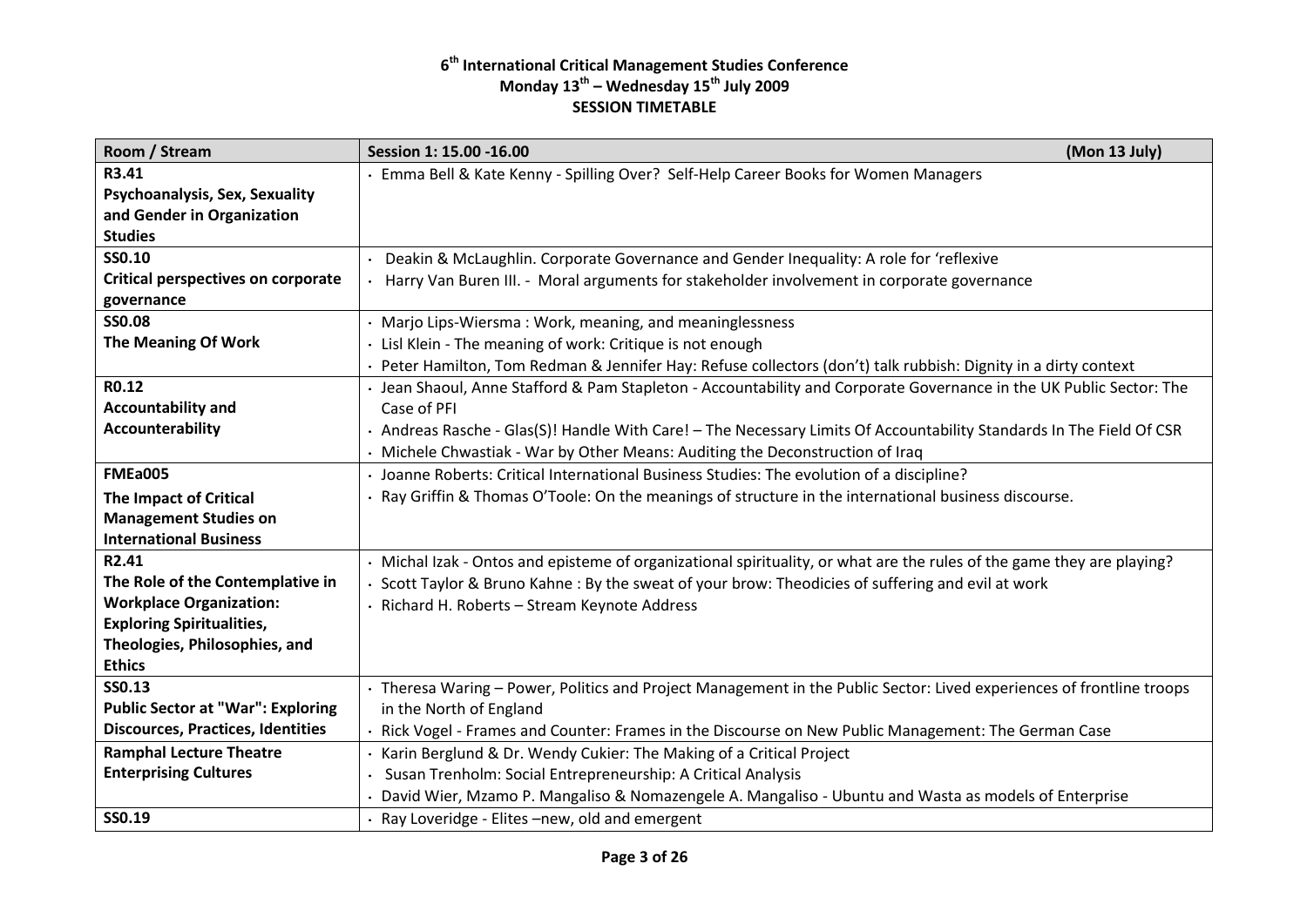| Room / Stream                             | Session 1: 15.00 -16.00<br>(Mon 13 July)                                                                              |
|-------------------------------------------|-----------------------------------------------------------------------------------------------------------------------|
| R3.41                                     | · Emma Bell & Kate Kenny - Spilling Over? Self-Help Career Books for Women Managers                                   |
| Psychoanalysis, Sex, Sexuality            |                                                                                                                       |
| and Gender in Organization                |                                                                                                                       |
| <b>Studies</b>                            |                                                                                                                       |
| SS0.10                                    | Deakin & McLaughlin. Corporate Governance and Gender Inequality: A role for 'reflexive                                |
| <b>Critical perspectives on corporate</b> | Harry Van Buren III. - Moral arguments for stakeholder involvement in corporate governance                            |
| governance                                |                                                                                                                       |
| <b>SSO.08</b>                             | Marjo Lips-Wiersma: Work, meaning, and meaninglessness                                                                |
| The Meaning Of Work                       | Lisl Klein - The meaning of work: Critique is not enough                                                              |
|                                           | Peter Hamilton, Tom Redman & Jennifer Hay: Refuse collectors (don't) talk rubbish: Dignity in a dirty context         |
| R0.12                                     | · Jean Shaoul, Anne Stafford & Pam Stapleton - Accountability and Corporate Governance in the UK Public Sector: The   |
| <b>Accountability and</b>                 | Case of PFI                                                                                                           |
| Accounterability                          | · Andreas Rasche - Glas(S)! Handle With Care! - The Necessary Limits Of Accountability Standards In The Field Of CSR  |
|                                           | Michele Chwastiak - War by Other Means: Auditing the Deconstruction of Iraq                                           |
| <b>FMEa005</b>                            | Joanne Roberts: Critical International Business Studies: The evolution of a discipline?                               |
| The Impact of Critical                    | Ray Griffin & Thomas O'Toole: On the meanings of structure in the international business discourse.                   |
| <b>Management Studies on</b>              |                                                                                                                       |
| <b>International Business</b>             |                                                                                                                       |
| R2.41                                     | Michal Izak - Ontos and episteme of organizational spirituality, or what are the rules of the game they are playing?  |
| The Role of the Contemplative in          | Scott Taylor & Bruno Kahne: By the sweat of your brow: Theodicies of suffering and evil at work                       |
| <b>Workplace Organization:</b>            | · Richard H. Roberts - Stream Keynote Address                                                                         |
| <b>Exploring Spiritualities,</b>          |                                                                                                                       |
| Theologies, Philosophies, and             |                                                                                                                       |
| <b>Ethics</b>                             |                                                                                                                       |
| <b>SS0.13</b>                             | · Theresa Waring - Power, Politics and Project Management in the Public Sector: Lived experiences of frontline troops |
| <b>Public Sector at "War": Exploring</b>  | in the North of England                                                                                               |
| <b>Discources, Practices, Identities</b>  | · Rick Vogel - Frames and Counter: Frames in the Discourse on New Public Management: The German Case                  |
| <b>Ramphal Lecture Theatre</b>            | Karin Berglund & Dr. Wendy Cukier: The Making of a Critical Project                                                   |
| <b>Enterprising Cultures</b>              | Susan Trenholm: Social Entrepreneurship: A Critical Analysis                                                          |
|                                           | David Wier, Mzamo P. Mangaliso & Nomazengele A. Mangaliso - Ubuntu and Wasta as models of Enterprise                  |
| SS0.19                                    | Ray Loveridge - Elites -new, old and emergent                                                                         |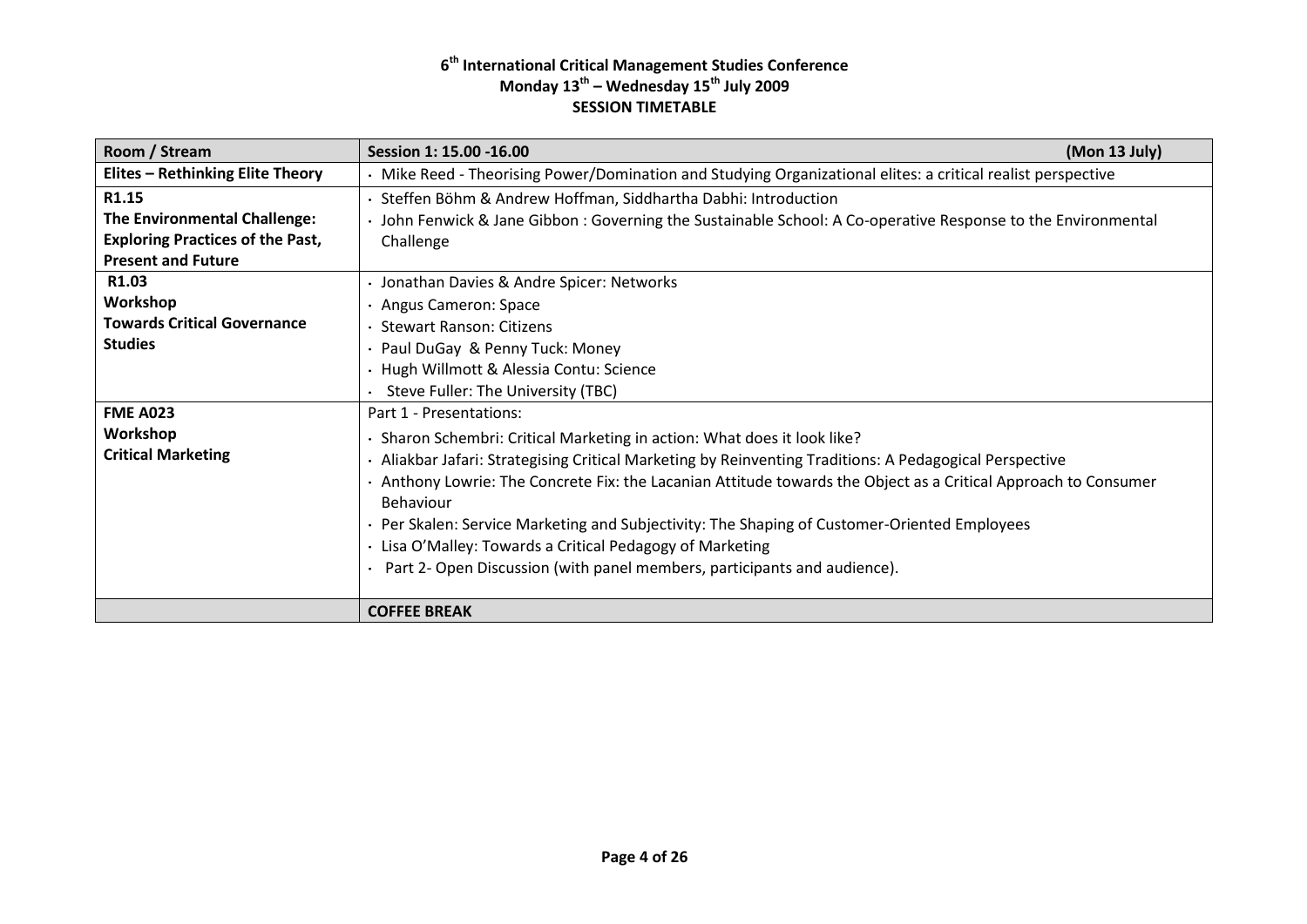| Room / Stream                           | Session 1: 15.00 -16.00                                                                                       | (Mon 13 July) |  |
|-----------------------------------------|---------------------------------------------------------------------------------------------------------------|---------------|--|
| <b>Elites - Rethinking Elite Theory</b> | · Mike Reed - Theorising Power/Domination and Studying Organizational elites: a critical realist perspective  |               |  |
| R1.15                                   | Steffen Böhm & Andrew Hoffman, Siddhartha Dabhi: Introduction                                                 |               |  |
| <b>The Environmental Challenge:</b>     | John Fenwick & Jane Gibbon: Governing the Sustainable School: A Co-operative Response to the Environmental    |               |  |
| <b>Exploring Practices of the Past,</b> | Challenge                                                                                                     |               |  |
| <b>Present and Future</b>               |                                                                                                               |               |  |
| R1.03                                   | Jonathan Davies & Andre Spicer: Networks                                                                      |               |  |
| Workshop                                | Angus Cameron: Space                                                                                          |               |  |
| <b>Towards Critical Governance</b>      | <b>Stewart Ranson: Citizens</b>                                                                               |               |  |
| <b>Studies</b>                          | · Paul DuGay & Penny Tuck: Money                                                                              |               |  |
|                                         | · Hugh Willmott & Alessia Contu: Science                                                                      |               |  |
|                                         | Steve Fuller: The University (TBC)                                                                            |               |  |
| <b>FME A023</b>                         | Part 1 - Presentations:                                                                                       |               |  |
| Workshop                                | Sharon Schembri: Critical Marketing in action: What does it look like?                                        |               |  |
| <b>Critical Marketing</b>               | Aliakbar Jafari: Strategising Critical Marketing by Reinventing Traditions: A Pedagogical Perspective         |               |  |
|                                         | Anthony Lowrie: The Concrete Fix: the Lacanian Attitude towards the Object as a Critical Approach to Consumer |               |  |
|                                         | <b>Behaviour</b>                                                                                              |               |  |
|                                         | · Per Skalen: Service Marketing and Subjectivity: The Shaping of Customer-Oriented Employees                  |               |  |
|                                         | · Lisa O'Malley: Towards a Critical Pedagogy of Marketing                                                     |               |  |
|                                         | Part 2- Open Discussion (with panel members, participants and audience).                                      |               |  |
|                                         |                                                                                                               |               |  |
|                                         | <b>COFFEE BREAK</b>                                                                                           |               |  |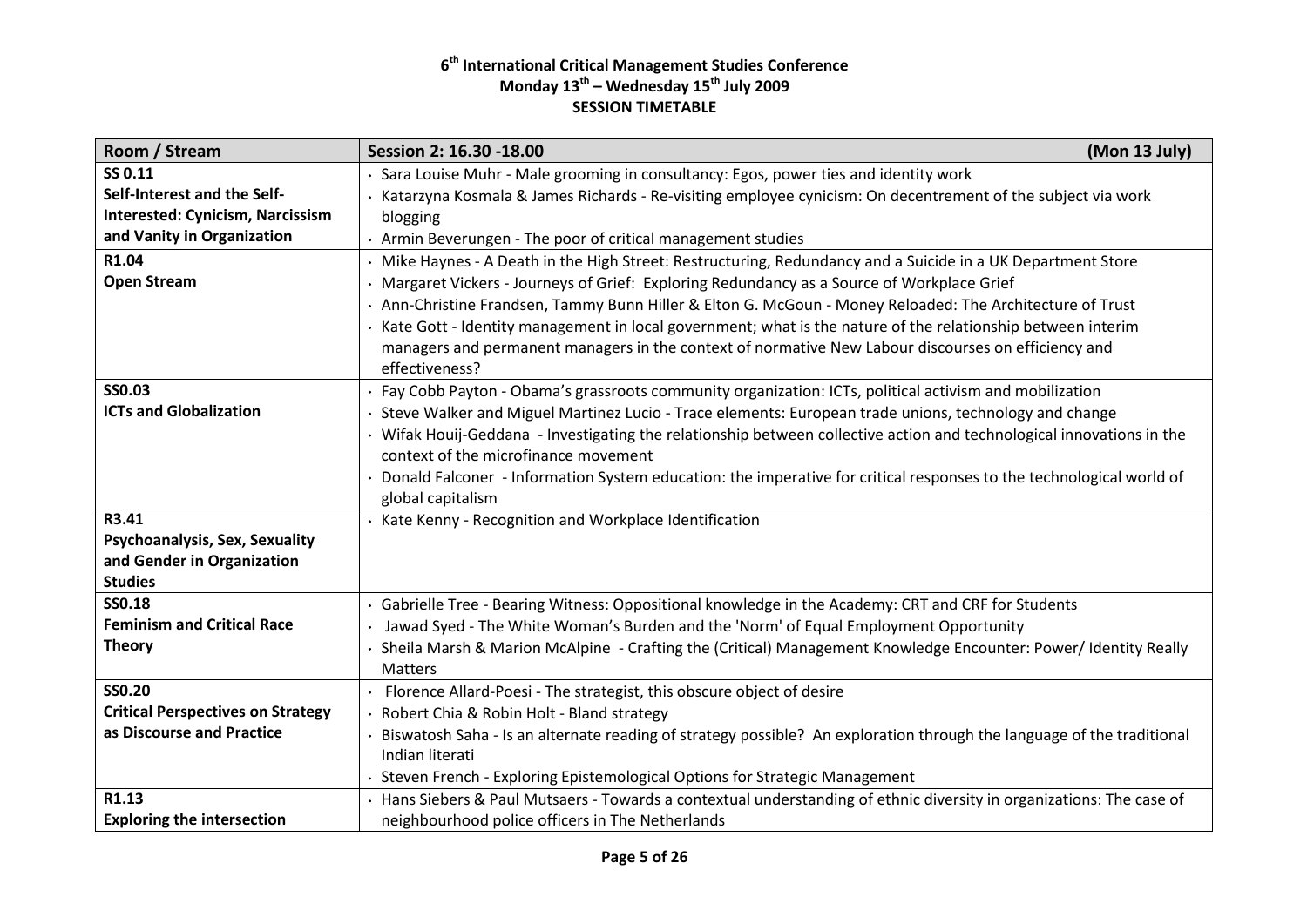| SS 0.11<br>Sara Louise Muhr - Male grooming in consultancy: Egos, power ties and identity work<br>Self-Interest and the Self-<br>Katarzyna Kosmala & James Richards - Re-visiting employee cynicism: On decentrement of the subject via work<br><b>Interested: Cynicism, Narcissism</b><br>blogging<br>and Vanity in Organization<br>Armin Beverungen - The poor of critical management studies<br>R1.04<br>Mike Haynes - A Death in the High Street: Restructuring, Redundancy and a Suicide in a UK Department Store |  |
|------------------------------------------------------------------------------------------------------------------------------------------------------------------------------------------------------------------------------------------------------------------------------------------------------------------------------------------------------------------------------------------------------------------------------------------------------------------------------------------------------------------------|--|
|                                                                                                                                                                                                                                                                                                                                                                                                                                                                                                                        |  |
|                                                                                                                                                                                                                                                                                                                                                                                                                                                                                                                        |  |
|                                                                                                                                                                                                                                                                                                                                                                                                                                                                                                                        |  |
|                                                                                                                                                                                                                                                                                                                                                                                                                                                                                                                        |  |
|                                                                                                                                                                                                                                                                                                                                                                                                                                                                                                                        |  |
| <b>Open Stream</b><br>Margaret Vickers - Journeys of Grief: Exploring Redundancy as a Source of Workplace Grief                                                                                                                                                                                                                                                                                                                                                                                                        |  |
| · Ann-Christine Frandsen, Tammy Bunn Hiller & Elton G. McGoun - Money Reloaded: The Architecture of Trust                                                                                                                                                                                                                                                                                                                                                                                                              |  |
| · Kate Gott - Identity management in local government; what is the nature of the relationship between interim                                                                                                                                                                                                                                                                                                                                                                                                          |  |
| managers and permanent managers in the context of normative New Labour discourses on efficiency and                                                                                                                                                                                                                                                                                                                                                                                                                    |  |
| effectiveness?                                                                                                                                                                                                                                                                                                                                                                                                                                                                                                         |  |
| <b>SS0.03</b><br>Fay Cobb Payton - Obama's grassroots community organization: ICTs, political activism and mobilization                                                                                                                                                                                                                                                                                                                                                                                                |  |
| <b>ICTs and Globalization</b><br>Steve Walker and Miguel Martinez Lucio - Trace elements: European trade unions, technology and change                                                                                                                                                                                                                                                                                                                                                                                 |  |
| · Wifak Houij-Geddana - Investigating the relationship between collective action and technological innovations in the                                                                                                                                                                                                                                                                                                                                                                                                  |  |
| context of the microfinance movement                                                                                                                                                                                                                                                                                                                                                                                                                                                                                   |  |
| Donald Falconer - Information System education: the imperative for critical responses to the technological world of                                                                                                                                                                                                                                                                                                                                                                                                    |  |
| global capitalism                                                                                                                                                                                                                                                                                                                                                                                                                                                                                                      |  |
| R3.41<br>· Kate Kenny - Recognition and Workplace Identification                                                                                                                                                                                                                                                                                                                                                                                                                                                       |  |
| Psychoanalysis, Sex, Sexuality                                                                                                                                                                                                                                                                                                                                                                                                                                                                                         |  |
| and Gender in Organization                                                                                                                                                                                                                                                                                                                                                                                                                                                                                             |  |
| <b>Studies</b><br><b>SS0.18</b>                                                                                                                                                                                                                                                                                                                                                                                                                                                                                        |  |
| Gabrielle Tree - Bearing Witness: Oppositional knowledge in the Academy: CRT and CRF for Students<br><b>Feminism and Critical Race</b>                                                                                                                                                                                                                                                                                                                                                                                 |  |
| Jawad Syed - The White Woman's Burden and the 'Norm' of Equal Employment Opportunity<br><b>Theory</b>                                                                                                                                                                                                                                                                                                                                                                                                                  |  |
| Sheila Marsh & Marion McAlpine - Crafting the (Critical) Management Knowledge Encounter: Power/ Identity Really<br><b>Matters</b>                                                                                                                                                                                                                                                                                                                                                                                      |  |
| <b>SS0.20</b><br>Florence Allard-Poesi - The strategist, this obscure object of desire                                                                                                                                                                                                                                                                                                                                                                                                                                 |  |
| <b>Critical Perspectives on Strategy</b><br>Robert Chia & Robin Holt - Bland strategy                                                                                                                                                                                                                                                                                                                                                                                                                                  |  |
| as Discourse and Practice<br>Biswatosh Saha - Is an alternate reading of strategy possible? An exploration through the language of the traditional                                                                                                                                                                                                                                                                                                                                                                     |  |
| Indian literati                                                                                                                                                                                                                                                                                                                                                                                                                                                                                                        |  |
| Steven French - Exploring Epistemological Options for Strategic Management                                                                                                                                                                                                                                                                                                                                                                                                                                             |  |
| R1.13<br>Hans Siebers & Paul Mutsaers - Towards a contextual understanding of ethnic diversity in organizations: The case of                                                                                                                                                                                                                                                                                                                                                                                           |  |
| <b>Exploring the intersection</b><br>neighbourhood police officers in The Netherlands                                                                                                                                                                                                                                                                                                                                                                                                                                  |  |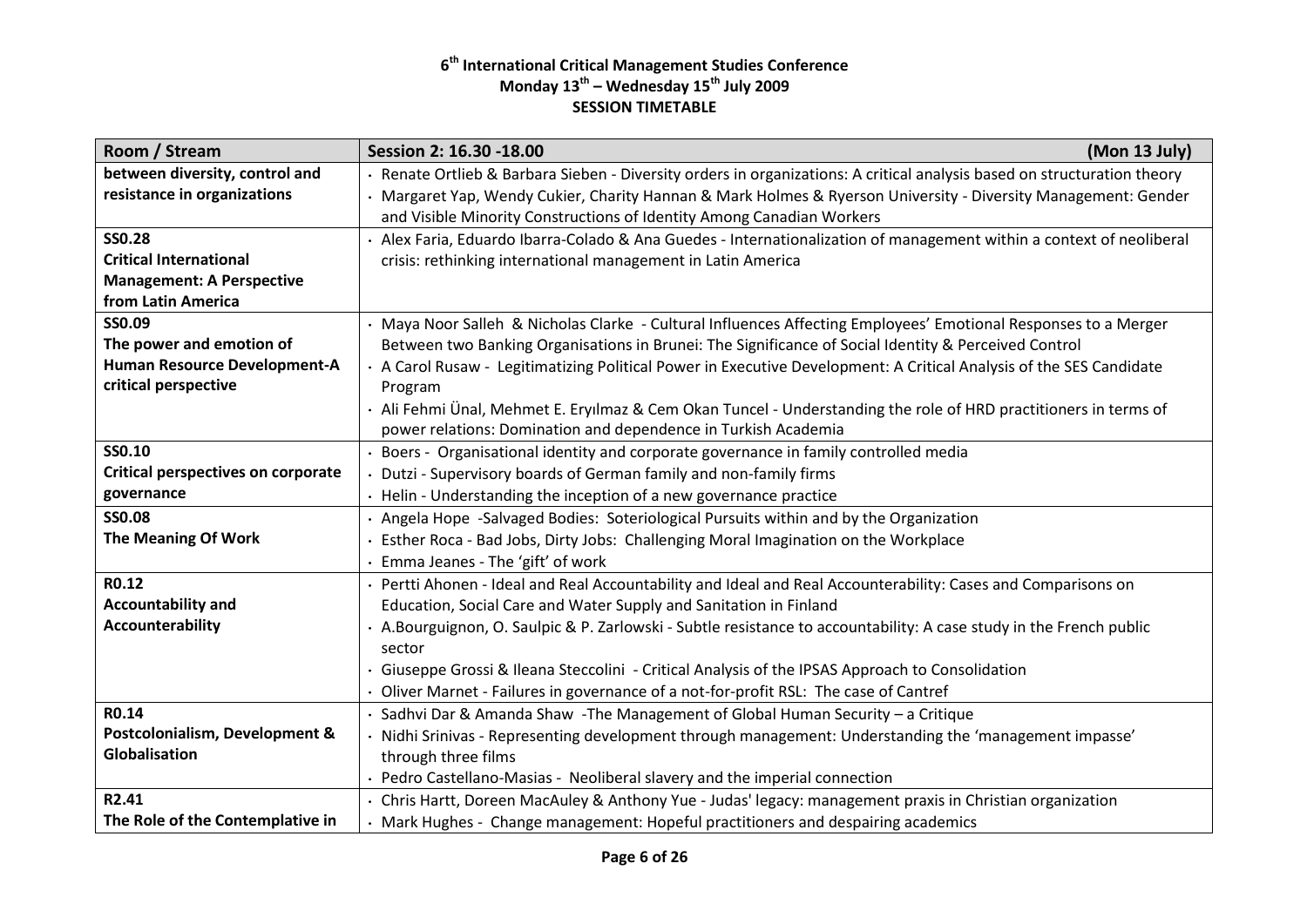| Room / Stream                             | Session 2: 16.30 -18.00<br>(Mon 13 July)                                                                                                                                              |
|-------------------------------------------|---------------------------------------------------------------------------------------------------------------------------------------------------------------------------------------|
| between diversity, control and            | Renate Ortlieb & Barbara Sieben - Diversity orders in organizations: A critical analysis based on structuration theory                                                                |
| resistance in organizations               | Margaret Yap, Wendy Cukier, Charity Hannan & Mark Holmes & Ryerson University - Diversity Management: Gender<br>and Visible Minority Constructions of Identity Among Canadian Workers |
| <b>SSO.28</b>                             | Alex Faria, Eduardo Ibarra-Colado & Ana Guedes - Internationalization of management within a context of neoliberal                                                                    |
| <b>Critical International</b>             | crisis: rethinking international management in Latin America                                                                                                                          |
| <b>Management: A Perspective</b>          |                                                                                                                                                                                       |
| from Latin America                        |                                                                                                                                                                                       |
| SS0.09                                    | Maya Noor Salleh & Nicholas Clarke - Cultural Influences Affecting Employees' Emotional Responses to a Merger                                                                         |
| The power and emotion of                  | Between two Banking Organisations in Brunei: The Significance of Social Identity & Perceived Control                                                                                  |
| Human Resource Development-A              | · A Carol Rusaw - Legitimatizing Political Power in Executive Development: A Critical Analysis of the SES Candidate                                                                   |
| critical perspective                      | Program                                                                                                                                                                               |
|                                           | · Ali Fehmi Ünal, Mehmet E. Eryılmaz & Cem Okan Tuncel - Understanding the role of HRD practitioners in terms of                                                                      |
|                                           | power relations: Domination and dependence in Turkish Academia                                                                                                                        |
| SS0.10                                    | Boers - Organisational identity and corporate governance in family controlled media                                                                                                   |
| <b>Critical perspectives on corporate</b> | Dutzi - Supervisory boards of German family and non-family firms                                                                                                                      |
| governance                                | • Helin - Understanding the inception of a new governance practice                                                                                                                    |
| <b>SS0.08</b>                             | · Angela Hope -Salvaged Bodies: Soteriological Pursuits within and by the Organization                                                                                                |
| The Meaning Of Work                       | Esther Roca - Bad Jobs, Dirty Jobs: Challenging Moral Imagination on the Workplace                                                                                                    |
|                                           | Emma Jeanes - The 'gift' of work                                                                                                                                                      |
| R0.12                                     | Pertti Ahonen - Ideal and Real Accountability and Ideal and Real Accounterability: Cases and Comparisons on                                                                           |
| <b>Accountability and</b>                 | Education, Social Care and Water Supply and Sanitation in Finland                                                                                                                     |
| Accounterability                          | A.Bourguignon, O. Saulpic & P. Zarlowski - Subtle resistance to accountability: A case study in the French public                                                                     |
|                                           | sector                                                                                                                                                                                |
|                                           | · Giuseppe Grossi & Ileana Steccolini - Critical Analysis of the IPSAS Approach to Consolidation                                                                                      |
|                                           | Oliver Marnet - Failures in governance of a not-for-profit RSL: The case of Cantref                                                                                                   |
| R0.14                                     | Sadhvi Dar & Amanda Shaw - The Management of Global Human Security - a Critique                                                                                                       |
| Postcolonialism, Development &            | Nidhi Srinivas - Representing development through management: Understanding the 'management impasse'                                                                                  |
| Globalisation                             | through three films                                                                                                                                                                   |
|                                           | Pedro Castellano-Masias - Neoliberal slavery and the imperial connection                                                                                                              |
| R2.41                                     | Chris Hartt, Doreen MacAuley & Anthony Yue - Judas' legacy: management praxis in Christian organization                                                                               |
| The Role of the Contemplative in          | · Mark Hughes - Change management: Hopeful practitioners and despairing academics                                                                                                     |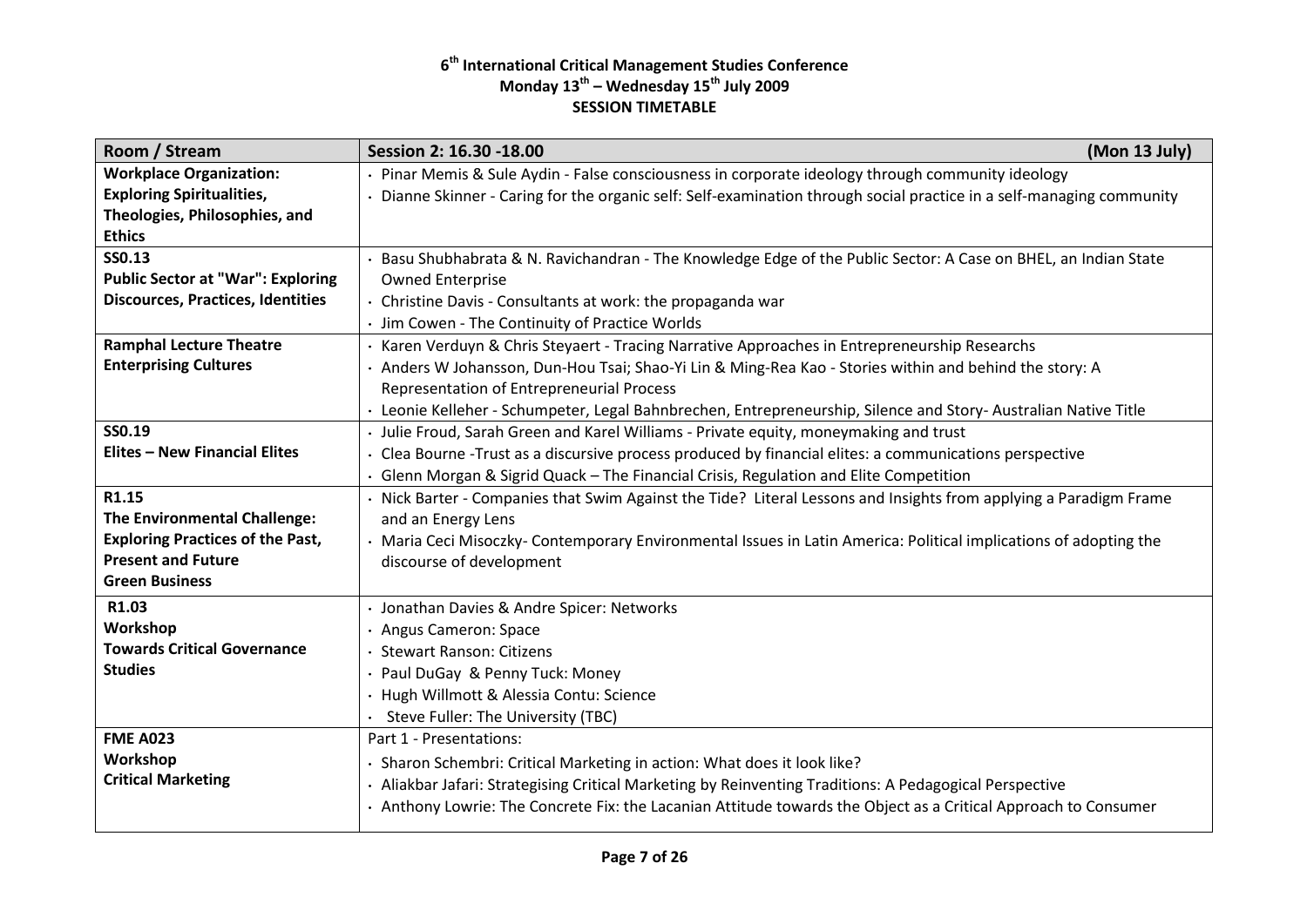| Room / Stream                            | (Mon 13 July)<br>Session 2: 16.30 -18.00                                                                            |
|------------------------------------------|---------------------------------------------------------------------------------------------------------------------|
| <b>Workplace Organization:</b>           | Pinar Memis & Sule Aydin - False consciousness in corporate ideology through community ideology                     |
| <b>Exploring Spiritualities,</b>         | Dianne Skinner - Caring for the organic self: Self-examination through social practice in a self-managing community |
| Theologies, Philosophies, and            |                                                                                                                     |
| <b>Ethics</b>                            |                                                                                                                     |
| <b>SS0.13</b>                            | Basu Shubhabrata & N. Ravichandran - The Knowledge Edge of the Public Sector: A Case on BHEL, an Indian State       |
| <b>Public Sector at "War": Exploring</b> | <b>Owned Enterprise</b>                                                                                             |
| <b>Discources, Practices, Identities</b> | · Christine Davis - Consultants at work: the propaganda war                                                         |
|                                          | · Jim Cowen - The Continuity of Practice Worlds                                                                     |
| <b>Ramphal Lecture Theatre</b>           | Karen Verduyn & Chris Steyaert - Tracing Narrative Approaches in Entrepreneurship Researchs                         |
| <b>Enterprising Cultures</b>             | . Anders W Johansson, Dun-Hou Tsai; Shao-Yi Lin & Ming-Rea Kao - Stories within and behind the story: A             |
|                                          | Representation of Entrepreneurial Process                                                                           |
|                                          | · Leonie Kelleher - Schumpeter, Legal Bahnbrechen, Entrepreneurship, Silence and Story- Australian Native Title     |
| SS0.19                                   | · Julie Froud, Sarah Green and Karel Williams - Private equity, moneymaking and trust                               |
| <b>Elites - New Financial Elites</b>     | · Clea Bourne -Trust as a discursive process produced by financial elites: a communications perspective             |
|                                          | · Glenn Morgan & Sigrid Quack - The Financial Crisis, Regulation and Elite Competition                              |
| R1.15                                    | · Nick Barter - Companies that Swim Against the Tide? Literal Lessons and Insights from applying a Paradigm Frame   |
| <b>The Environmental Challenge:</b>      | and an Energy Lens                                                                                                  |
| <b>Exploring Practices of the Past,</b>  | Maria Ceci Misoczky- Contemporary Environmental Issues in Latin America: Political implications of adopting the     |
| <b>Present and Future</b>                | discourse of development                                                                                            |
| <b>Green Business</b>                    |                                                                                                                     |
| R1.03                                    | · Jonathan Davies & Andre Spicer: Networks                                                                          |
| Workshop                                 | · Angus Cameron: Space                                                                                              |
| <b>Towards Critical Governance</b>       | · Stewart Ranson: Citizens                                                                                          |
| <b>Studies</b>                           | Paul DuGay & Penny Tuck: Money                                                                                      |
|                                          | · Hugh Willmott & Alessia Contu: Science                                                                            |
|                                          | · Steve Fuller: The University (TBC)                                                                                |
| <b>FME A023</b>                          | Part 1 - Presentations:                                                                                             |
| Workshop                                 | Sharon Schembri: Critical Marketing in action: What does it look like?                                              |
| <b>Critical Marketing</b>                | Aliakbar Jafari: Strategising Critical Marketing by Reinventing Traditions: A Pedagogical Perspective               |
|                                          | Anthony Lowrie: The Concrete Fix: the Lacanian Attitude towards the Object as a Critical Approach to Consumer       |
|                                          |                                                                                                                     |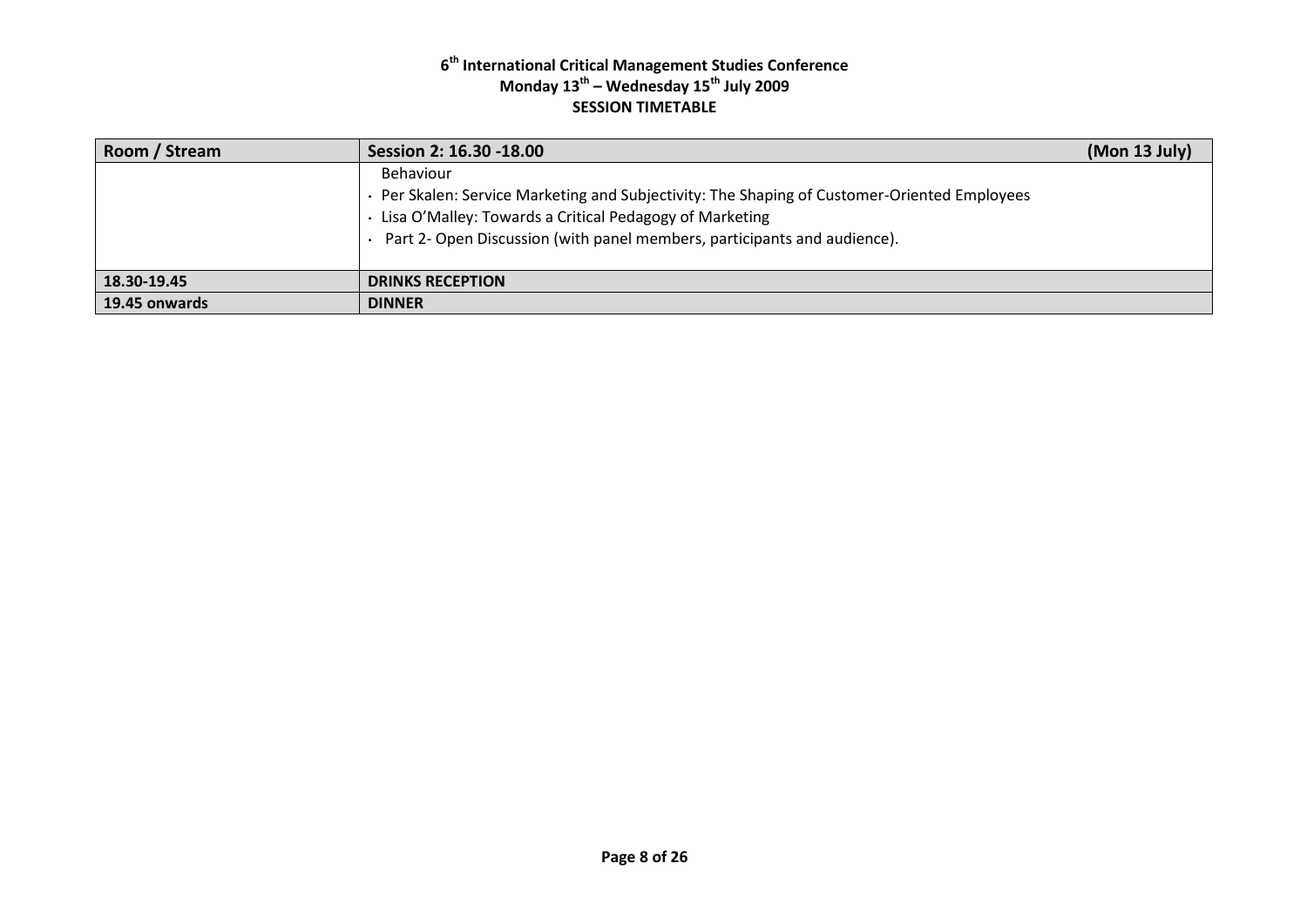| Room / Stream | Session 2: 16.30 -18.00                                                                                                                                                                                                                        | (Mon 13 July) |
|---------------|------------------------------------------------------------------------------------------------------------------------------------------------------------------------------------------------------------------------------------------------|---------------|
|               | Behaviour<br>Per Skalen: Service Marketing and Subjectivity: The Shaping of Customer-Oriented Employees<br>Lisa O'Malley: Towards a Critical Pedagogy of Marketing<br>Part 2- Open Discussion (with panel members, participants and audience). |               |
| 18.30-19.45   | <b>DRINKS RECEPTION</b>                                                                                                                                                                                                                        |               |
| 19.45 onwards | <b>DINNER</b>                                                                                                                                                                                                                                  |               |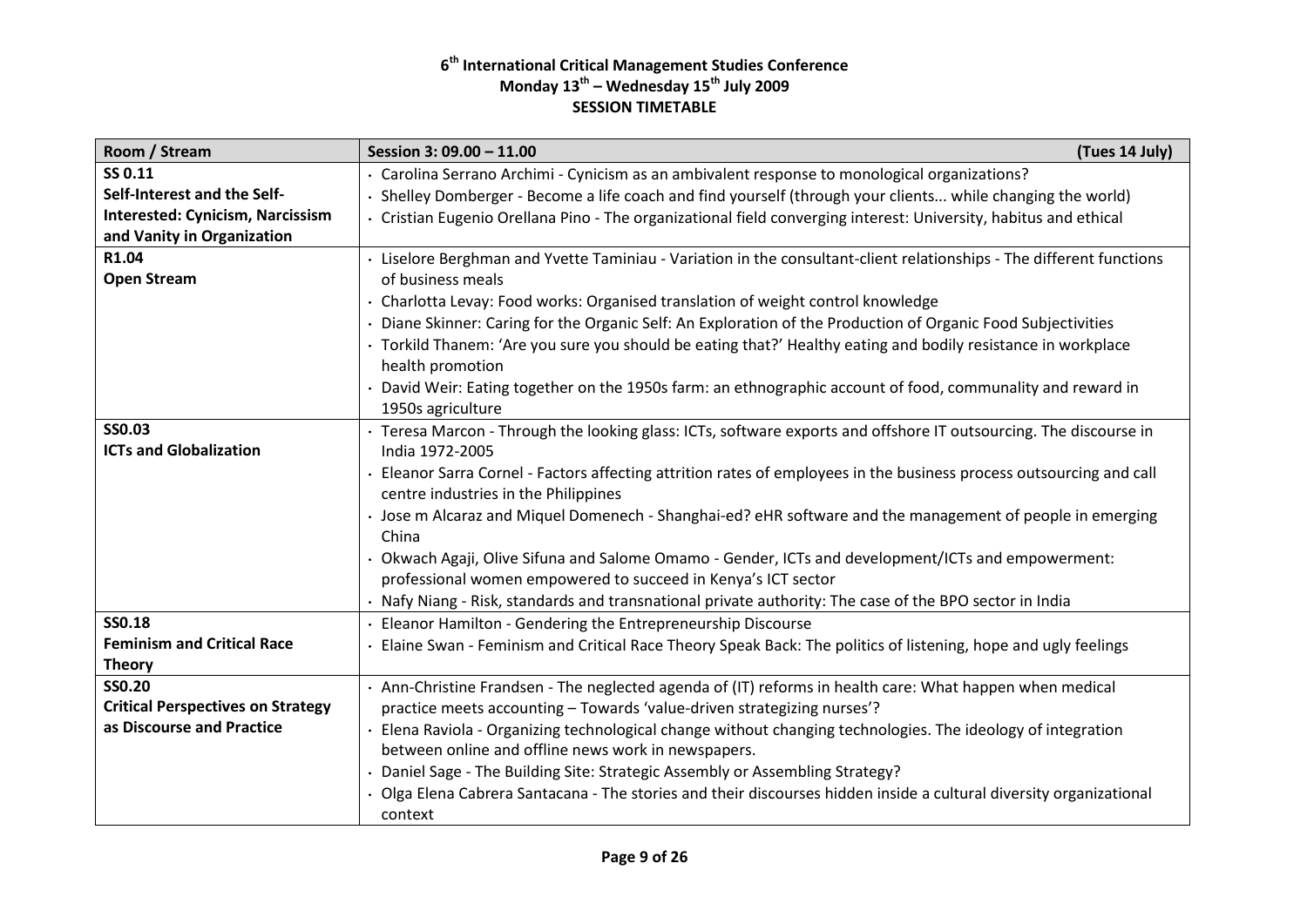| Room / Stream                            | (Tues 14 July)<br>Session 3: 09.00 - 11.00                                                                         |  |
|------------------------------------------|--------------------------------------------------------------------------------------------------------------------|--|
| SS 0.11                                  | · Carolina Serrano Archimi - Cynicism as an ambivalent response to monological organizations?                      |  |
| Self-Interest and the Self-              | Shelley Domberger - Become a life coach and find yourself (through your clients while changing the world)          |  |
| <b>Interested: Cynicism, Narcissism</b>  | · Cristian Eugenio Orellana Pino - The organizational field converging interest: University, habitus and ethical   |  |
| and Vanity in Organization               |                                                                                                                    |  |
| R1.04                                    | Liselore Berghman and Yvette Taminiau - Variation in the consultant-client relationships - The different functions |  |
| <b>Open Stream</b>                       | of business meals                                                                                                  |  |
|                                          | Charlotta Levay: Food works: Organised translation of weight control knowledge                                     |  |
|                                          | Diane Skinner: Caring for the Organic Self: An Exploration of the Production of Organic Food Subjectivities        |  |
|                                          | · Torkild Thanem: 'Are you sure you should be eating that?' Healthy eating and bodily resistance in workplace      |  |
|                                          | health promotion                                                                                                   |  |
|                                          | David Weir: Eating together on the 1950s farm: an ethnographic account of food, communality and reward in          |  |
|                                          | 1950s agriculture                                                                                                  |  |
| <b>SS0.03</b>                            | · Teresa Marcon - Through the looking glass: ICTs, software exports and offshore IT outsourcing. The discourse in  |  |
| <b>ICTs and Globalization</b>            | India 1972-2005                                                                                                    |  |
|                                          | Eleanor Sarra Cornel - Factors affecting attrition rates of employees in the business process outsourcing and call |  |
|                                          | centre industries in the Philippines                                                                               |  |
|                                          | Jose m Alcaraz and Miquel Domenech - Shanghai-ed? eHR software and the management of people in emerging            |  |
|                                          | China                                                                                                              |  |
|                                          | Okwach Agaji, Olive Sifuna and Salome Omamo - Gender, ICTs and development/ICTs and empowerment:                   |  |
|                                          | professional women empowered to succeed in Kenya's ICT sector                                                      |  |
|                                          | · Nafy Niang - Risk, standards and transnational private authority: The case of the BPO sector in India            |  |
| <b>SS0.18</b>                            | Eleanor Hamilton - Gendering the Entrepreneurship Discourse                                                        |  |
| <b>Feminism and Critical Race</b>        | Elaine Swan - Feminism and Critical Race Theory Speak Back: The politics of listening, hope and ugly feelings      |  |
| <b>Theory</b>                            |                                                                                                                    |  |
| <b>SS0.20</b>                            | · Ann-Christine Frandsen - The neglected agenda of (IT) reforms in health care: What happen when medical           |  |
| <b>Critical Perspectives on Strategy</b> | practice meets accounting - Towards 'value-driven strategizing nurses'?                                            |  |
| as Discourse and Practice                | Elena Raviola - Organizing technological change without changing technologies. The ideology of integration         |  |
|                                          | between online and offline news work in newspapers.                                                                |  |
|                                          | Daniel Sage - The Building Site: Strategic Assembly or Assembling Strategy?                                        |  |
|                                          | Olga Elena Cabrera Santacana - The stories and their discourses hidden inside a cultural diversity organizational  |  |
|                                          | context                                                                                                            |  |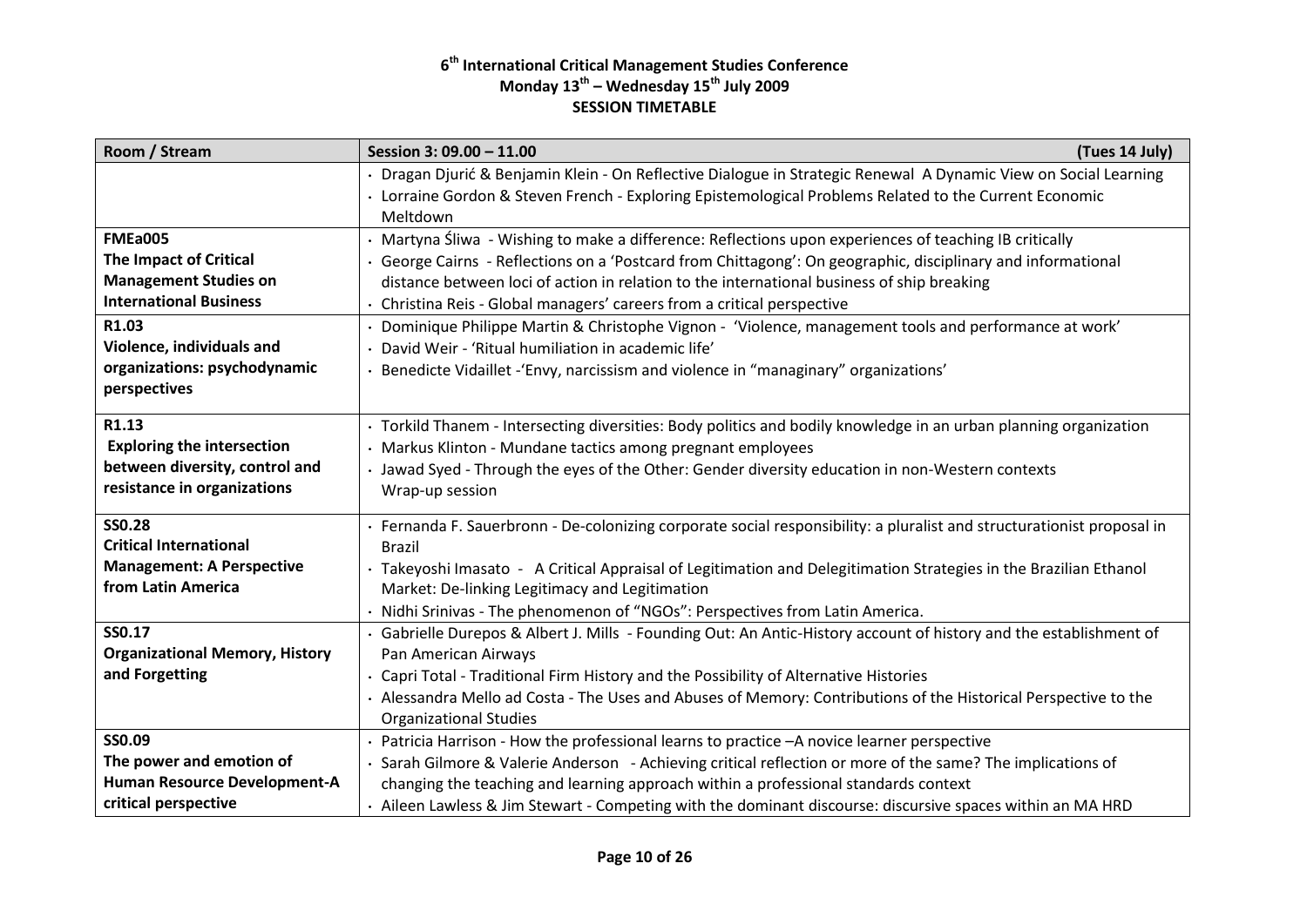| Room / Stream                                                                                                                                                                                          | Session 3: 09.00 - 11.00<br>(Tues 14 July)                                                                                                                                                                                                                                                                                                                                                                                                                                                                                                                                                                                                       |
|--------------------------------------------------------------------------------------------------------------------------------------------------------------------------------------------------------|--------------------------------------------------------------------------------------------------------------------------------------------------------------------------------------------------------------------------------------------------------------------------------------------------------------------------------------------------------------------------------------------------------------------------------------------------------------------------------------------------------------------------------------------------------------------------------------------------------------------------------------------------|
|                                                                                                                                                                                                        | Dragan Djurić & Benjamin Klein - On Reflective Dialogue in Strategic Renewal A Dynamic View on Social Learning<br>· Lorraine Gordon & Steven French - Exploring Epistemological Problems Related to the Current Economic<br>Meltdown                                                                                                                                                                                                                                                                                                                                                                                                             |
| <b>FMEa005</b><br><b>The Impact of Critical</b><br><b>Management Studies on</b><br><b>International Business</b><br>R1.03<br>Violence, individuals and<br>organizations: psychodynamic<br>perspectives | Martyna Śliwa - Wishing to make a difference: Reflections upon experiences of teaching IB critically<br>George Cairns - Reflections on a 'Postcard from Chittagong': On geographic, disciplinary and informational<br>distance between loci of action in relation to the international business of ship breaking<br>• Christina Reis - Global managers' careers from a critical perspective<br>Dominique Philippe Martin & Christophe Vignon - 'Violence, management tools and performance at work'<br>David Weir - 'Ritual humiliation in academic life'<br>Benedicte Vidaillet - 'Envy, narcissism and violence in "managinary" organizations' |
| R1.13<br><b>Exploring the intersection</b><br>between diversity, control and<br>resistance in organizations                                                                                            | · Torkild Thanem - Intersecting diversities: Body politics and bodily knowledge in an urban planning organization<br>Markus Klinton - Mundane tactics among pregnant employees<br>· Jawad Syed - Through the eyes of the Other: Gender diversity education in non-Western contexts<br>Wrap-up session                                                                                                                                                                                                                                                                                                                                            |
| <b>SS0.28</b><br><b>Critical International</b><br><b>Management: A Perspective</b><br>from Latin America                                                                                               | Fernanda F. Sauerbronn - De-colonizing corporate social responsibility: a pluralist and structurationist proposal in<br><b>Brazil</b><br>· Takeyoshi Imasato - A Critical Appraisal of Legitimation and Delegitimation Strategies in the Brazilian Ethanol<br>Market: De-linking Legitimacy and Legitimation<br>Nidhi Srinivas - The phenomenon of "NGOs": Perspectives from Latin America.                                                                                                                                                                                                                                                      |
| SS0.17<br><b>Organizational Memory, History</b><br>and Forgetting                                                                                                                                      | Gabrielle Durepos & Albert J. Mills - Founding Out: An Antic-History account of history and the establishment of<br>Pan American Airways<br>· Capri Total - Traditional Firm History and the Possibility of Alternative Histories<br>Alessandra Mello ad Costa - The Uses and Abuses of Memory: Contributions of the Historical Perspective to the<br><b>Organizational Studies</b>                                                                                                                                                                                                                                                              |
| SS0.09<br>The power and emotion of<br>Human Resource Development-A<br>critical perspective                                                                                                             | Patricia Harrison - How the professional learns to practice - A novice learner perspective<br>Sarah Gilmore & Valerie Anderson - Achieving critical reflection or more of the same? The implications of<br>changing the teaching and learning approach within a professional standards context<br>· Aileen Lawless & Jim Stewart - Competing with the dominant discourse: discursive spaces within an MA HRD                                                                                                                                                                                                                                     |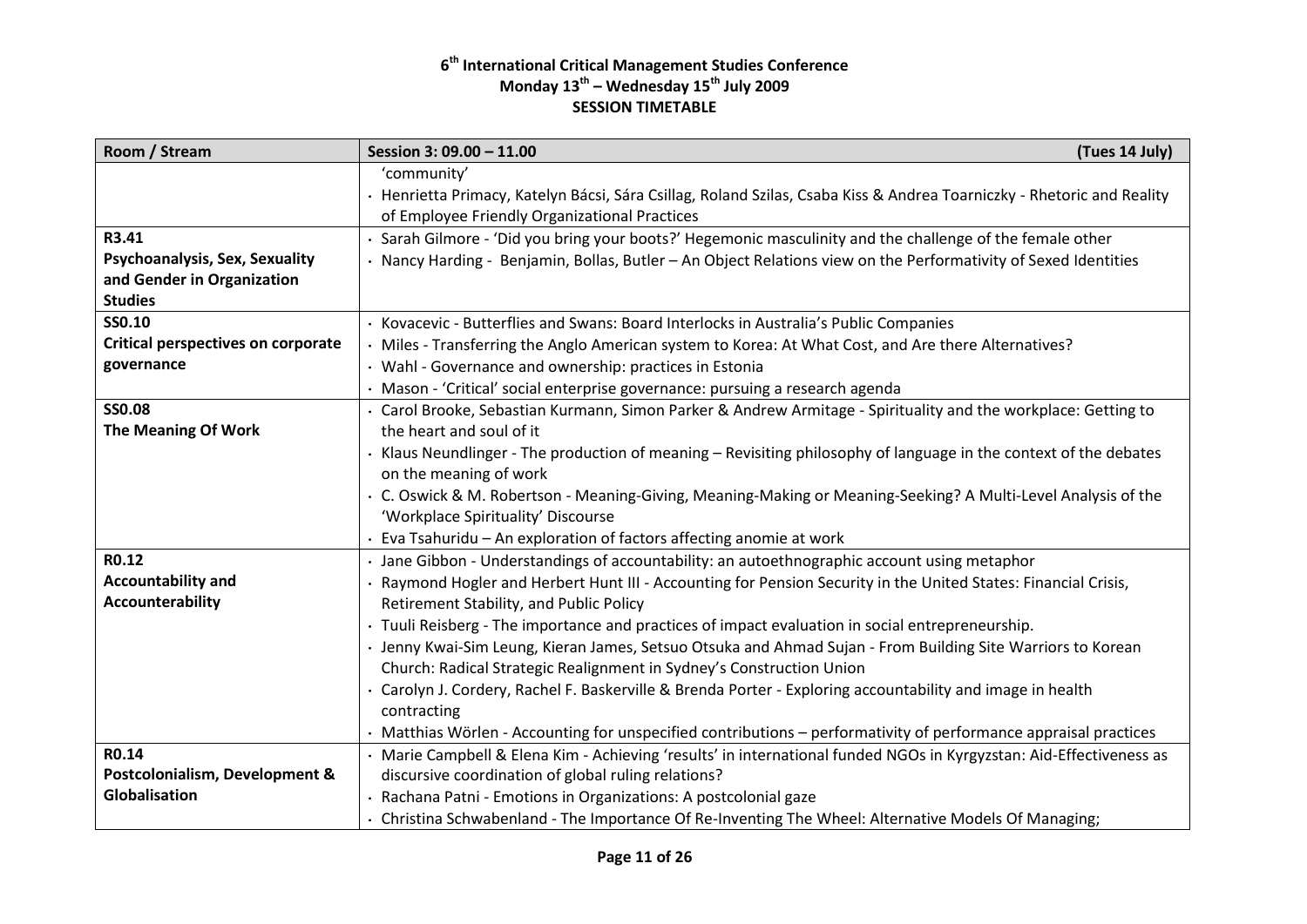| Room / Stream                             | Session 3: 09.00 - 11.00<br>(Tues 14 July)                                                                                                                              |
|-------------------------------------------|-------------------------------------------------------------------------------------------------------------------------------------------------------------------------|
|                                           | 'community'                                                                                                                                                             |
|                                           | · Henrietta Primacy, Katelyn Bácsi, Sára Csillag, Roland Szilas, Csaba Kiss & Andrea Toarniczky - Rhetoric and Reality<br>of Employee Friendly Organizational Practices |
| R3.41                                     | Sarah Gilmore - 'Did you bring your boots?' Hegemonic masculinity and the challenge of the female other                                                                 |
| Psychoanalysis, Sex, Sexuality            | · Nancy Harding - Benjamin, Bollas, Butler - An Object Relations view on the Performativity of Sexed Identities                                                         |
| and Gender in Organization                |                                                                                                                                                                         |
| <b>Studies</b>                            |                                                                                                                                                                         |
| SS0.10                                    | · Kovacevic - Butterflies and Swans: Board Interlocks in Australia's Public Companies                                                                                   |
| <b>Critical perspectives on corporate</b> | · Miles - Transferring the Anglo American system to Korea: At What Cost, and Are there Alternatives?                                                                    |
| governance                                | • Wahl - Governance and ownership: practices in Estonia                                                                                                                 |
|                                           | · Mason - 'Critical' social enterprise governance: pursuing a research agenda                                                                                           |
| <b>SS0.08</b>                             | · Carol Brooke, Sebastian Kurmann, Simon Parker & Andrew Armitage - Spirituality and the workplace: Getting to                                                          |
| The Meaning Of Work                       | the heart and soul of it                                                                                                                                                |
|                                           | · Klaus Neundlinger - The production of meaning – Revisiting philosophy of language in the context of the debates                                                       |
|                                           | on the meaning of work                                                                                                                                                  |
|                                           | · C. Oswick & M. Robertson - Meaning-Giving, Meaning-Making or Meaning-Seeking? A Multi-Level Analysis of the<br>'Workplace Spirituality' Discourse                     |
|                                           | · Eva Tsahuridu - An exploration of factors affecting anomie at work                                                                                                    |
| R0.12                                     | · Jane Gibbon - Understandings of accountability: an autoethnographic account using metaphor                                                                            |
| Accountability and                        | · Raymond Hogler and Herbert Hunt III - Accounting for Pension Security in the United States: Financial Crisis,                                                         |
| Accounterability                          | Retirement Stability, and Public Policy                                                                                                                                 |
|                                           | · Tuuli Reisberg - The importance and practices of impact evaluation in social entrepreneurship.                                                                        |
|                                           | Jenny Kwai-Sim Leung, Kieran James, Setsuo Otsuka and Ahmad Sujan - From Building Site Warriors to Korean                                                               |
|                                           | Church: Radical Strategic Realignment in Sydney's Construction Union                                                                                                    |
|                                           | · Carolyn J. Cordery, Rachel F. Baskerville & Brenda Porter - Exploring accountability and image in health                                                              |
|                                           | contracting                                                                                                                                                             |
|                                           | · Matthias Wörlen - Accounting for unspecified contributions - performativity of performance appraisal practices                                                        |
| R0.14                                     | · Marie Campbell & Elena Kim - Achieving 'results' in international funded NGOs in Kyrgyzstan: Aid-Effectiveness as                                                     |
| Postcolonialism, Development &            | discursive coordination of global ruling relations?                                                                                                                     |
| Globalisation                             | · Rachana Patni - Emotions in Organizations: A postcolonial gaze                                                                                                        |
|                                           | · Christina Schwabenland - The Importance Of Re-Inventing The Wheel: Alternative Models Of Managing;                                                                    |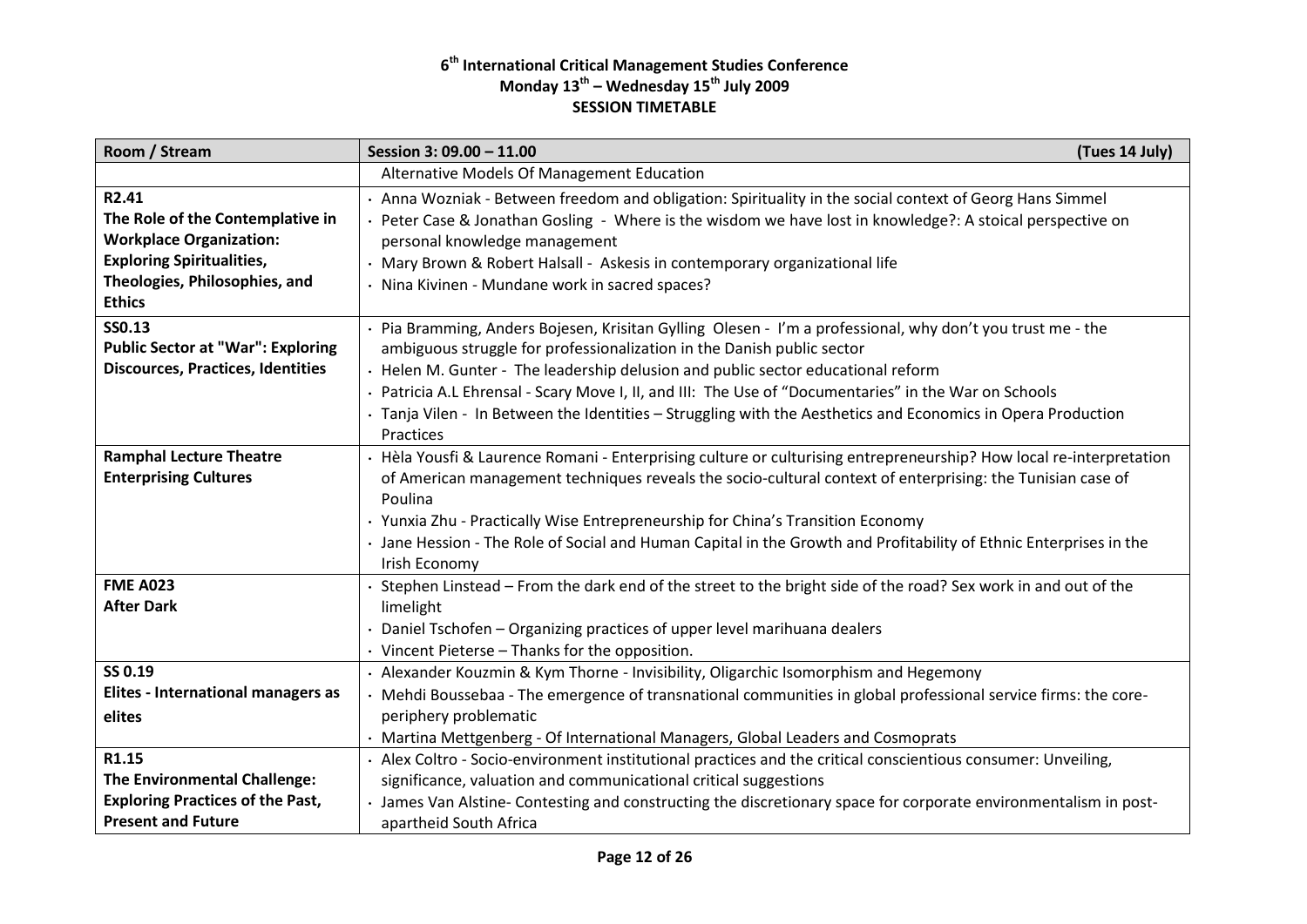| Room / Stream                                                                                                                                                               | Session 3: 09.00 - 11.00                                                                                                                                                                                                                                                                                                                                                                                                                                                                              | (Tues 14 July) |
|-----------------------------------------------------------------------------------------------------------------------------------------------------------------------------|-------------------------------------------------------------------------------------------------------------------------------------------------------------------------------------------------------------------------------------------------------------------------------------------------------------------------------------------------------------------------------------------------------------------------------------------------------------------------------------------------------|----------------|
|                                                                                                                                                                             | Alternative Models Of Management Education                                                                                                                                                                                                                                                                                                                                                                                                                                                            |                |
| R2.41<br>The Role of the Contemplative in<br><b>Workplace Organization:</b><br><b>Exploring Spiritualities,</b><br>Theologies, Philosophies, and<br><b>Ethics</b><br>SS0.13 | · Anna Wozniak - Between freedom and obligation: Spirituality in the social context of Georg Hans Simmel<br>Peter Case & Jonathan Gosling - Where is the wisdom we have lost in knowledge?: A stoical perspective on<br>personal knowledge management<br>· Mary Brown & Robert Halsall - Askesis in contemporary organizational life<br>· Nina Kivinen - Mundane work in sacred spaces?<br>· Pia Bramming, Anders Bojesen, Krisitan Gylling Olesen - I'm a professional, why don't you trust me - the |                |
| <b>Public Sector at "War": Exploring</b><br><b>Discources, Practices, Identities</b>                                                                                        | ambiguous struggle for professionalization in the Danish public sector<br>· Helen M. Gunter - The leadership delusion and public sector educational reform<br>· Patricia A.L Ehrensal - Scary Move I, II, and III: The Use of "Documentaries" in the War on Schools<br>· Tanja Vilen - In Between the Identities - Struggling with the Aesthetics and Economics in Opera Production<br>Practices                                                                                                      |                |
| <b>Ramphal Lecture Theatre</b><br><b>Enterprising Cultures</b>                                                                                                              | · Hèla Yousfi & Laurence Romani - Enterprising culture or culturising entrepreneurship? How local re-interpretation<br>of American management techniques reveals the socio-cultural context of enterprising: the Tunisian case of<br>Poulina<br>· Yunxia Zhu - Practically Wise Entrepreneurship for China's Transition Economy<br>Jane Hession - The Role of Social and Human Capital in the Growth and Profitability of Ethnic Enterprises in the<br>Irish Economy                                  |                |
| <b>FME A023</b><br><b>After Dark</b>                                                                                                                                        | Stephen Linstead - From the dark end of the street to the bright side of the road? Sex work in and out of the<br>limelight<br>Daniel Tschofen - Organizing practices of upper level marihuana dealers<br>$\cdot$ Vincent Pieterse – Thanks for the opposition.                                                                                                                                                                                                                                        |                |
| SS 0.19<br><b>Elites - International managers as</b><br>elites                                                                                                              | · Alexander Kouzmin & Kym Thorne - Invisibility, Oligarchic Isomorphism and Hegemony<br>Mehdi Boussebaa - The emergence of transnational communities in global professional service firms: the core-<br>periphery problematic<br>· Martina Mettgenberg - Of International Managers, Global Leaders and Cosmoprats                                                                                                                                                                                     |                |
| R1.15<br><b>The Environmental Challenge:</b><br><b>Exploring Practices of the Past,</b><br><b>Present and Future</b>                                                        | · Alex Coltro - Socio-environment institutional practices and the critical conscientious consumer: Unveiling,<br>significance, valuation and communicational critical suggestions<br>· James Van Alstine- Contesting and constructing the discretionary space for corporate environmentalism in post-<br>apartheid South Africa                                                                                                                                                                       |                |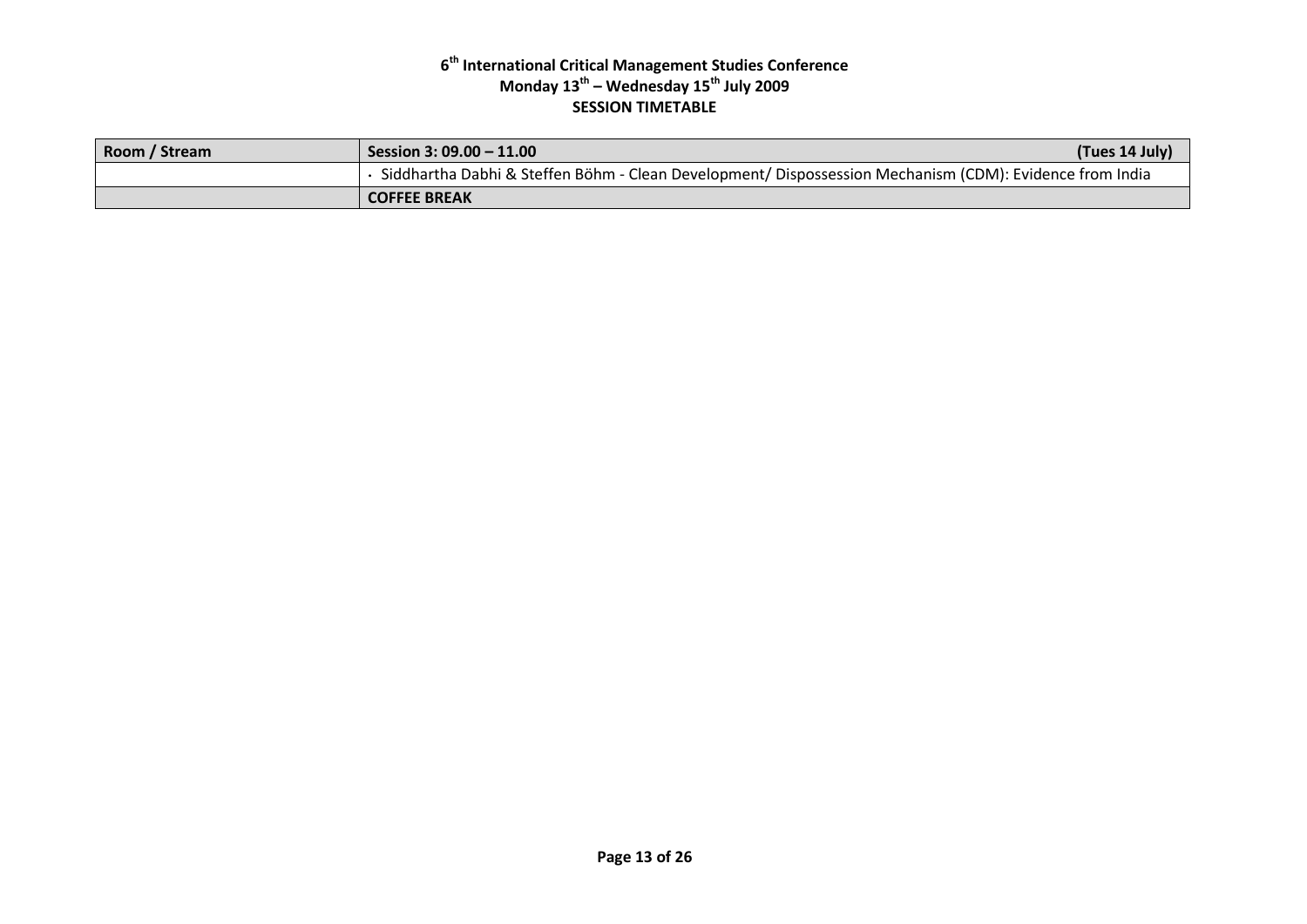| Room / Stream | Session 3: 09.00 - 11.00                                                                                | (Tues 14 July) |
|---------------|---------------------------------------------------------------------------------------------------------|----------------|
|               | Siddhartha Dabhi & Steffen Böhm - Clean Development/ Dispossession Mechanism (CDM): Evidence from India |                |
|               | <b>COFFEE BREAK</b>                                                                                     |                |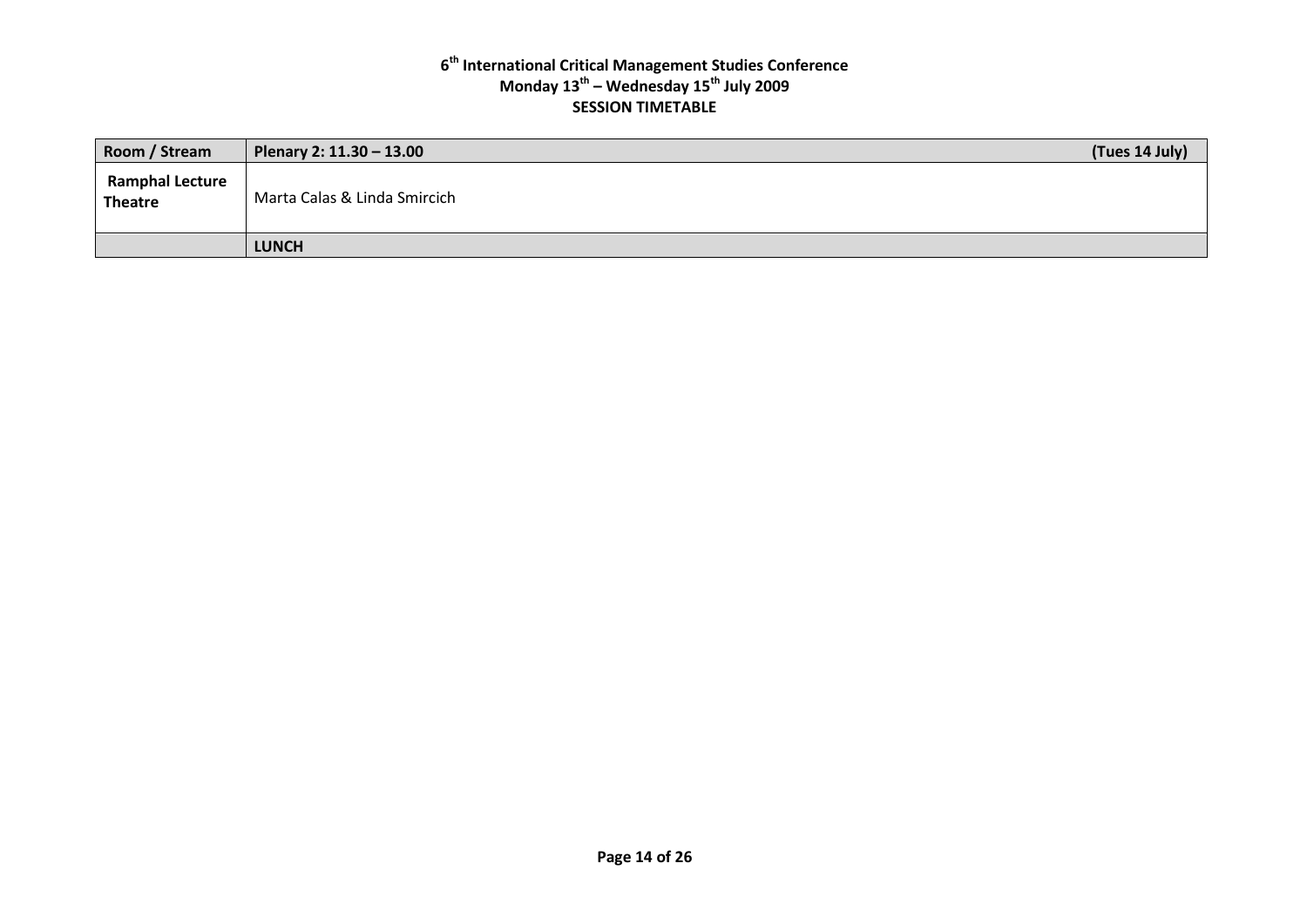| Room / Stream                            | Plenary 2: 11.30 - 13.00     | (Tues 14 July) |
|------------------------------------------|------------------------------|----------------|
| <b>Ramphal Lecture</b><br><b>Theatre</b> | Marta Calas & Linda Smircich |                |
|                                          | <b>LUNCH</b>                 |                |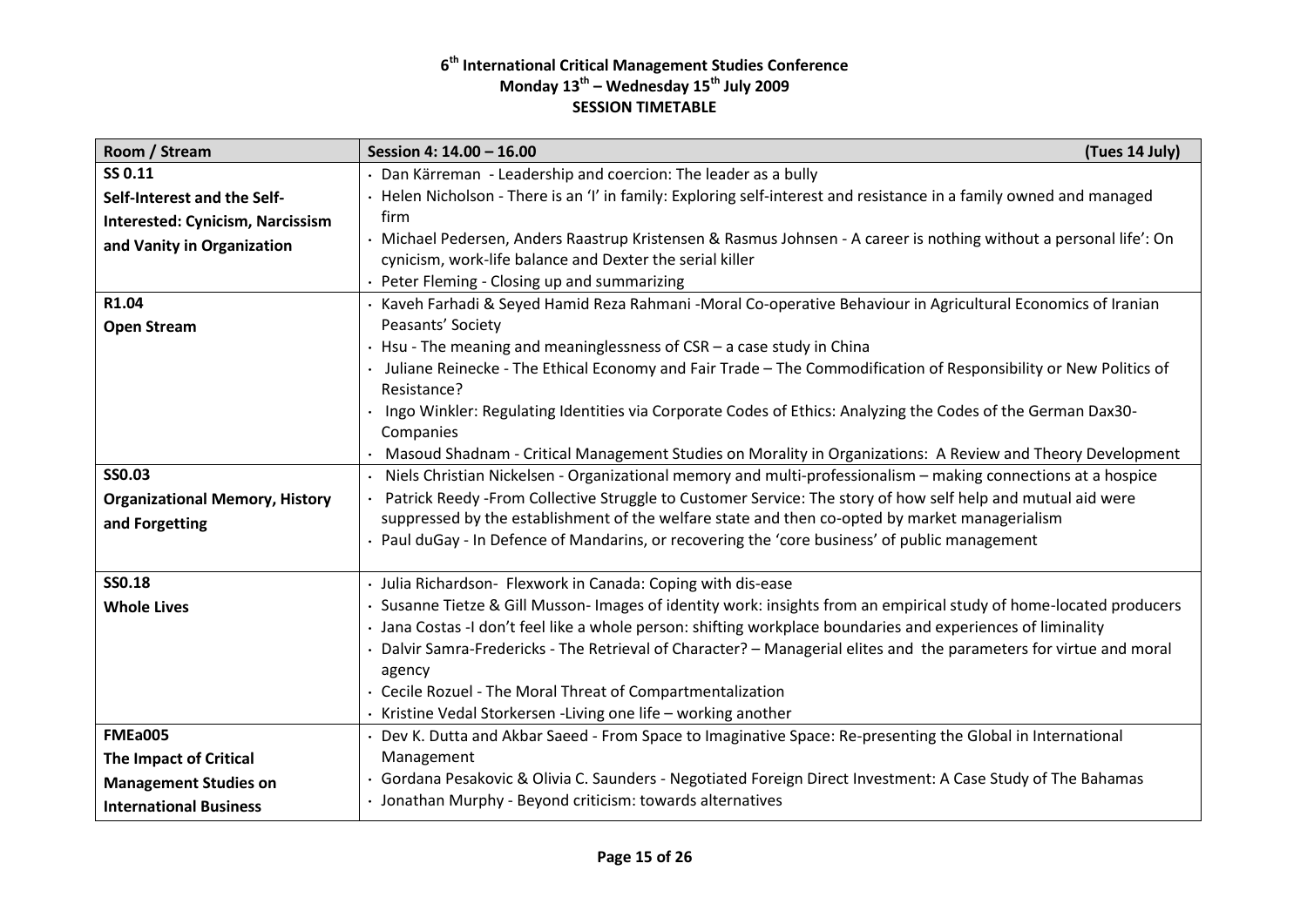| Room / Stream                           | Session 4: 14.00 - 16.00                                                                                                        | (Tues 14 July) |
|-----------------------------------------|---------------------------------------------------------------------------------------------------------------------------------|----------------|
| SS 0.11                                 | · Dan Kärreman - Leadership and coercion: The leader as a bully                                                                 |                |
| Self-Interest and the Self-             | · Helen Nicholson - There is an 'I' in family: Exploring self-interest and resistance in a family owned and managed             |                |
| <b>Interested: Cynicism, Narcissism</b> | firm                                                                                                                            |                |
| and Vanity in Organization              | · Michael Pedersen, Anders Raastrup Kristensen & Rasmus Johnsen - A career is nothing without a personal life': On              |                |
|                                         | cynicism, work-life balance and Dexter the serial killer                                                                        |                |
|                                         | • Peter Fleming - Closing up and summarizing                                                                                    |                |
| R1.04                                   | Kaveh Farhadi & Seyed Hamid Reza Rahmani -Moral Co-operative Behaviour in Agricultural Economics of Iranian                     |                |
| <b>Open Stream</b>                      | Peasants' Society                                                                                                               |                |
|                                         | Hsu - The meaning and meaninglessness of $CSR$ – a case study in China                                                          |                |
|                                         | Juliane Reinecke - The Ethical Economy and Fair Trade - The Commodification of Responsibility or New Politics of<br>Resistance? |                |
|                                         | Ingo Winkler: Regulating Identities via Corporate Codes of Ethics: Analyzing the Codes of the German Dax30-                     |                |
|                                         | Companies                                                                                                                       |                |
|                                         | Masoud Shadnam - Critical Management Studies on Morality in Organizations: A Review and Theory Development                      |                |
| <b>SS0.03</b>                           | Niels Christian Nickelsen - Organizational memory and multi-professionalism - making connections at a hospice                   |                |
| <b>Organizational Memory, History</b>   | Patrick Reedy -From Collective Struggle to Customer Service: The story of how self help and mutual aid were                     |                |
| and Forgetting                          | suppressed by the establishment of the welfare state and then co-opted by market managerialism                                  |                |
|                                         | · Paul duGay - In Defence of Mandarins, or recovering the 'core business' of public management                                  |                |
| <b>SS0.18</b>                           | · Julia Richardson- Flexwork in Canada: Coping with dis-ease                                                                    |                |
| <b>Whole Lives</b>                      | · Susanne Tietze & Gill Musson- Images of identity work: insights from an empirical study of home-located producers             |                |
|                                         | · Jana Costas -I don't feel like a whole person: shifting workplace boundaries and experiences of liminality                    |                |
|                                         | Dalvir Samra-Fredericks - The Retrieval of Character? - Managerial elites and the parameters for virtue and moral               |                |
|                                         | agency                                                                                                                          |                |
|                                         | · Cecile Rozuel - The Moral Threat of Compartmentalization                                                                      |                |
|                                         | Kristine Vedal Storkersen - Living one life - working another                                                                   |                |
| <b>FMEa005</b>                          | · Dev K. Dutta and Akbar Saeed - From Space to Imaginative Space: Re-presenting the Global in International                     |                |
| The Impact of Critical                  | Management                                                                                                                      |                |
| <b>Management Studies on</b>            | Gordana Pesakovic & Olivia C. Saunders - Negotiated Foreign Direct Investment: A Case Study of The Bahamas                      |                |
| <b>International Business</b>           | · Jonathan Murphy - Beyond criticism: towards alternatives                                                                      |                |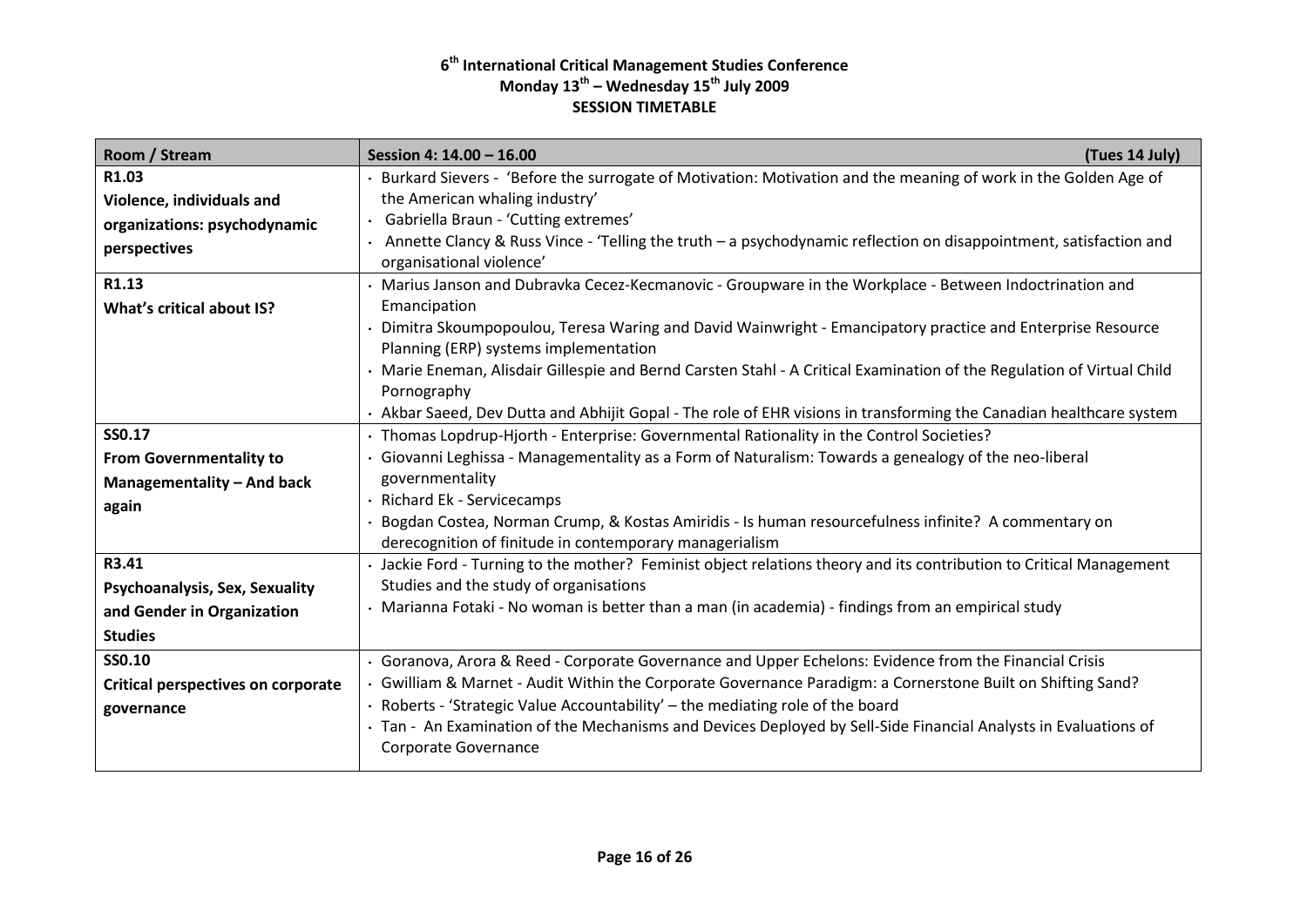| Room / Stream                             | (Tues 14 July)<br>Session 4: 14.00 - 16.00                                                                                                                     |
|-------------------------------------------|----------------------------------------------------------------------------------------------------------------------------------------------------------------|
| R1.03                                     | · Burkard Sievers - 'Before the surrogate of Motivation: Motivation and the meaning of work in the Golden Age of                                               |
| Violence, individuals and                 | the American whaling industry'                                                                                                                                 |
| organizations: psychodynamic              | · Gabriella Braun - 'Cutting extremes'                                                                                                                         |
| perspectives                              | Annette Clancy & Russ Vince - 'Telling the truth - a psychodynamic reflection on disappointment, satisfaction and<br>organisational violence'                  |
| R1.13                                     | · Marius Janson and Dubravka Cecez-Kecmanovic - Groupware in the Workplace - Between Indoctrination and                                                        |
| What's critical about IS?                 | Emancipation                                                                                                                                                   |
|                                           | Dimitra Skoumpopoulou, Teresa Waring and David Wainwright - Emancipatory practice and Enterprise Resource<br>Planning (ERP) systems implementation             |
|                                           | . Marie Eneman, Alisdair Gillespie and Bernd Carsten Stahl - A Critical Examination of the Regulation of Virtual Child                                         |
|                                           | Pornography                                                                                                                                                    |
|                                           | · Akbar Saeed, Dev Dutta and Abhijit Gopal - The role of EHR visions in transforming the Canadian healthcare system                                            |
| SS0.17                                    | · Thomas Lopdrup-Hjorth - Enterprise: Governmental Rationality in the Control Societies?                                                                       |
| <b>From Governmentality to</b>            | Giovanni Leghissa - Managementality as a Form of Naturalism: Towards a genealogy of the neo-liberal                                                            |
| Managementality - And back                | governmentality                                                                                                                                                |
| again                                     | · Richard Ek - Servicecamps                                                                                                                                    |
|                                           | Bogdan Costea, Norman Crump, & Kostas Amiridis - Is human resourcefulness infinite? A commentary on<br>derecognition of finitude in contemporary managerialism |
| R3.41                                     | Jackie Ford - Turning to the mother? Feminist object relations theory and its contribution to Critical Management                                              |
| Psychoanalysis, Sex, Sexuality            | Studies and the study of organisations                                                                                                                         |
| and Gender in Organization                | · Marianna Fotaki - No woman is better than a man (in academia) - findings from an empirical study                                                             |
| <b>Studies</b>                            |                                                                                                                                                                |
| SS0.10                                    | Goranova, Arora & Reed - Corporate Governance and Upper Echelons: Evidence from the Financial Crisis                                                           |
| <b>Critical perspectives on corporate</b> | · Gwilliam & Marnet - Audit Within the Corporate Governance Paradigm: a Cornerstone Built on Shifting Sand?                                                    |
| governance                                | · Roberts - 'Strategic Value Accountability' - the mediating role of the board                                                                                 |
|                                           | · Tan - An Examination of the Mechanisms and Devices Deployed by Sell-Side Financial Analysts in Evaluations of                                                |
|                                           | Corporate Governance                                                                                                                                           |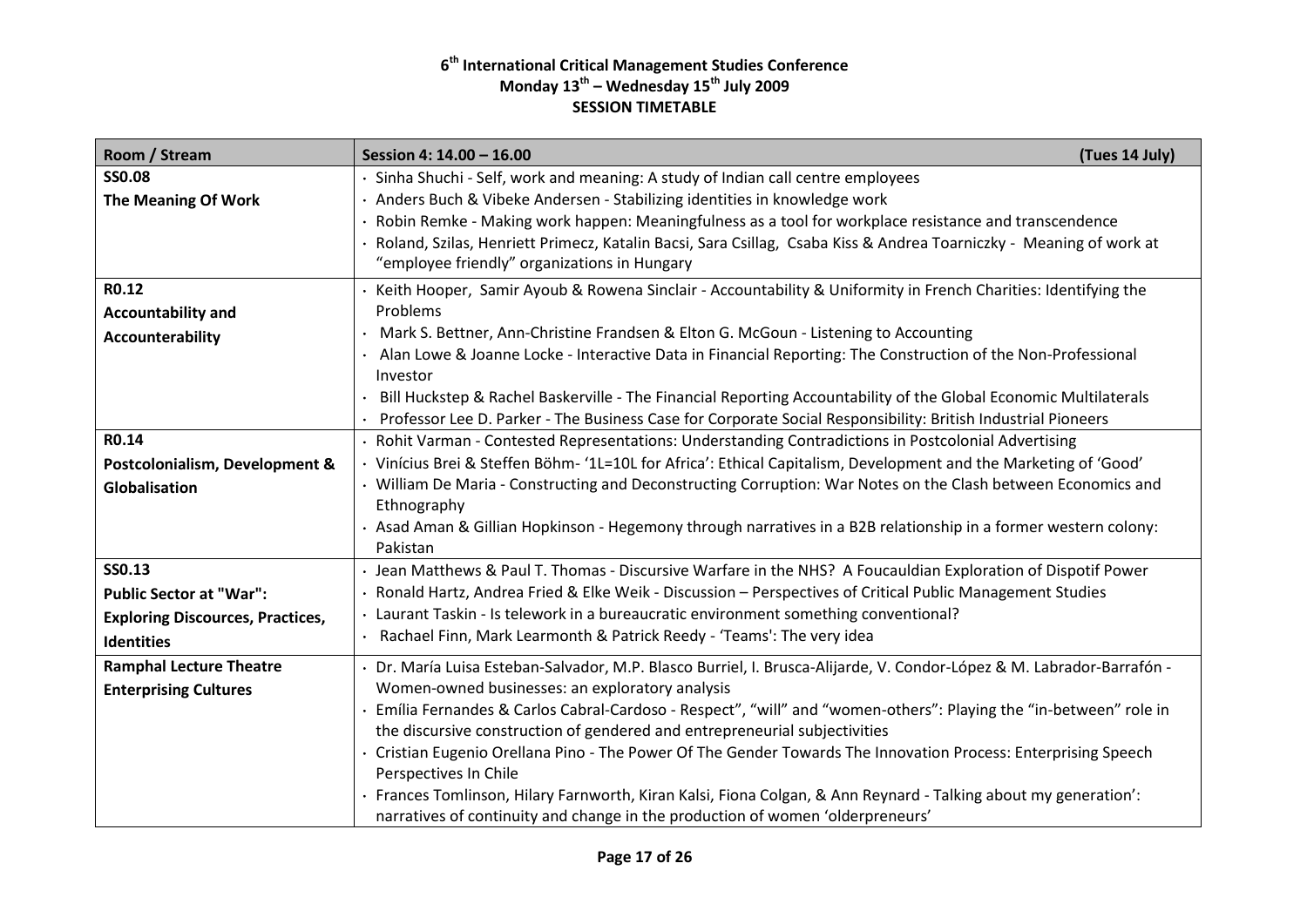| Room / Stream                           | Session 4: 14.00 - 16.00                                                                                                    | (Tues 14 July) |
|-----------------------------------------|-----------------------------------------------------------------------------------------------------------------------------|----------------|
| <b>SS0.08</b>                           | Sinha Shuchi - Self, work and meaning: A study of Indian call centre employees                                              |                |
| <b>The Meaning Of Work</b>              | Anders Buch & Vibeke Andersen - Stabilizing identities in knowledge work                                                    |                |
|                                         | Robin Remke - Making work happen: Meaningfulness as a tool for workplace resistance and transcendence                       |                |
|                                         | Roland, Szilas, Henriett Primecz, Katalin Bacsi, Sara Csillag, Csaba Kiss & Andrea Toarniczky - Meaning of work at          |                |
|                                         | "employee friendly" organizations in Hungary                                                                                |                |
| R0.12                                   | Keith Hooper, Samir Ayoub & Rowena Sinclair - Accountability & Uniformity in French Charities: Identifying the              |                |
| <b>Accountability and</b>               | Problems                                                                                                                    |                |
| Accounterability                        | Mark S. Bettner, Ann-Christine Frandsen & Elton G. McGoun - Listening to Accounting                                         |                |
|                                         | Alan Lowe & Joanne Locke - Interactive Data in Financial Reporting: The Construction of the Non-Professional<br>Investor    |                |
|                                         | Bill Huckstep & Rachel Baskerville - The Financial Reporting Accountability of the Global Economic Multilaterals            |                |
|                                         | Professor Lee D. Parker - The Business Case for Corporate Social Responsibility: British Industrial Pioneers                |                |
| R0.14                                   | Rohit Varman - Contested Representations: Understanding Contradictions in Postcolonial Advertising                          |                |
| Postcolonialism, Development &          | Vinícius Brei & Steffen Böhm- '1L=10L for Africa': Ethical Capitalism, Development and the Marketing of 'Good'              |                |
| Globalisation                           | William De Maria - Constructing and Deconstructing Corruption: War Notes on the Clash between Economics and<br>Ethnography  |                |
|                                         | · Asad Aman & Gillian Hopkinson - Hegemony through narratives in a B2B relationship in a former western colony:<br>Pakistan |                |
| <b>SS0.13</b>                           | · Jean Matthews & Paul T. Thomas - Discursive Warfare in the NHS? A Foucauldian Exploration of Dispotif Power               |                |
| <b>Public Sector at "War":</b>          | Ronald Hartz, Andrea Fried & Elke Weik - Discussion - Perspectives of Critical Public Management Studies                    |                |
| <b>Exploring Discources, Practices,</b> | Laurant Taskin - Is telework in a bureaucratic environment something conventional?                                          |                |
| <b>Identities</b>                       | Rachael Finn, Mark Learmonth & Patrick Reedy - 'Teams': The very idea                                                       |                |
| <b>Ramphal Lecture Theatre</b>          | Dr. María Luisa Esteban-Salvador, M.P. Blasco Burriel, I. Brusca-Alijarde, V. Condor-López & M. Labrador-Barrafón -         |                |
| <b>Enterprising Cultures</b>            | Women-owned businesses: an exploratory analysis                                                                             |                |
|                                         | Emília Fernandes & Carlos Cabral-Cardoso - Respect", "will" and "women-others": Playing the "in-between" role in            |                |
|                                         | the discursive construction of gendered and entrepreneurial subjectivities                                                  |                |
|                                         | · Cristian Eugenio Orellana Pino - The Power Of The Gender Towards The Innovation Process: Enterprising Speech              |                |
|                                         | Perspectives In Chile                                                                                                       |                |
|                                         | Frances Tomlinson, Hilary Farnworth, Kiran Kalsi, Fiona Colgan, & Ann Reynard - Talking about my generation':               |                |
|                                         | narratives of continuity and change in the production of women 'olderpreneurs'                                              |                |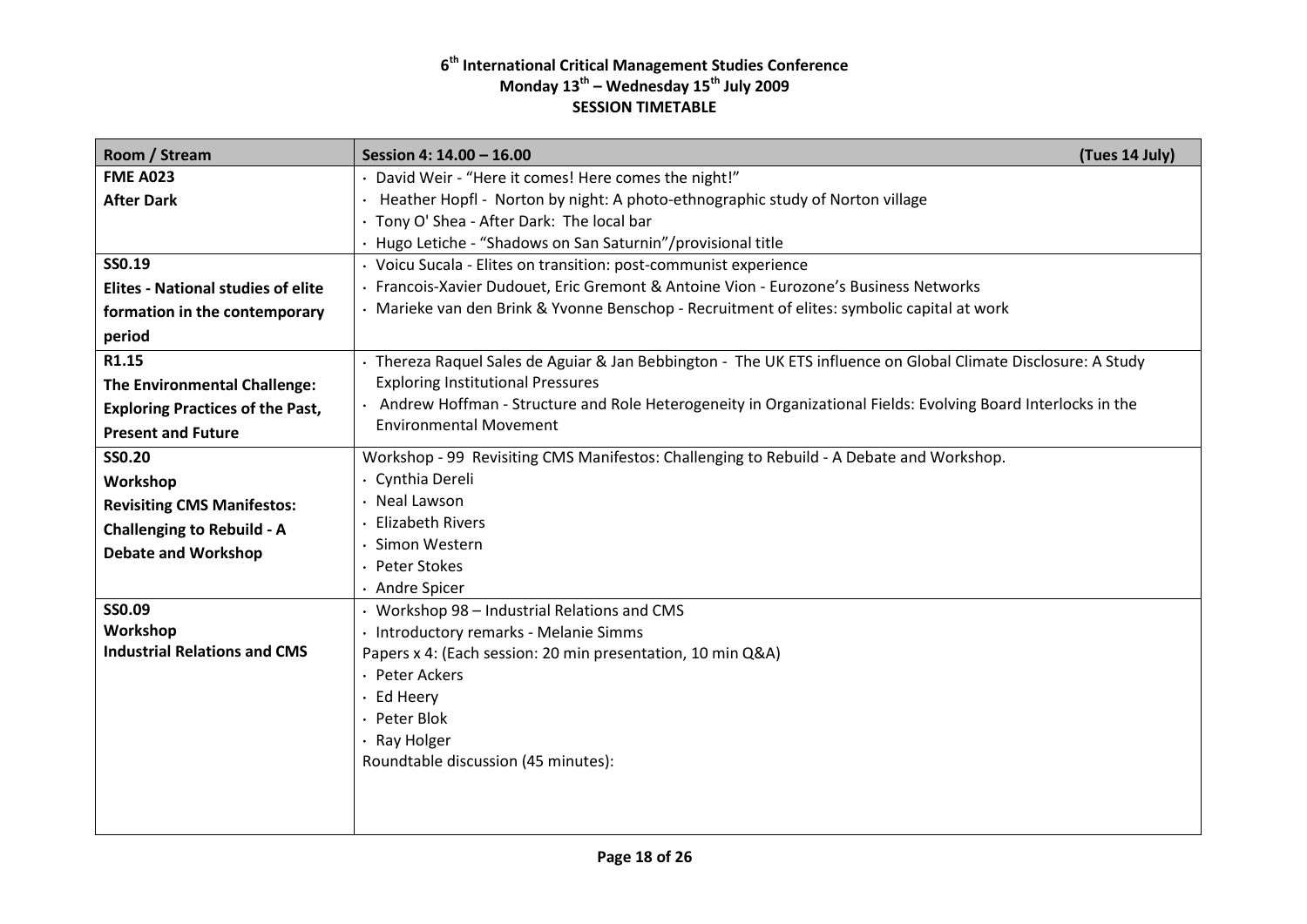| Room / Stream                             | Session 4: 14.00 - 16.00<br>(Tues 14 July)                                                                     |
|-------------------------------------------|----------------------------------------------------------------------------------------------------------------|
| <b>FME A023</b>                           | · David Weir - "Here it comes! Here comes the night!"                                                          |
| <b>After Dark</b>                         | · Heather Hopfl - Norton by night: A photo-ethnographic study of Norton village                                |
|                                           | · Tony O' Shea - After Dark: The local bar                                                                     |
|                                           | · Hugo Letiche - "Shadows on San Saturnin"/provisional title                                                   |
| SS0.19                                    | · Voicu Sucala - Elites on transition: post-communist experience                                               |
| <b>Elites - National studies of elite</b> | Francois-Xavier Dudouet, Eric Gremont & Antoine Vion - Eurozone's Business Networks                            |
| formation in the contemporary             | · Marieke van den Brink & Yvonne Benschop - Recruitment of elites: symbolic capital at work                    |
| period                                    |                                                                                                                |
| R1.15                                     | · Thereza Raquel Sales de Aguiar & Jan Bebbington - The UK ETS influence on Global Climate Disclosure: A Study |
| <b>The Environmental Challenge:</b>       | <b>Exploring Institutional Pressures</b>                                                                       |
| <b>Exploring Practices of the Past,</b>   | . Andrew Hoffman - Structure and Role Heterogeneity in Organizational Fields: Evolving Board Interlocks in the |
| <b>Present and Future</b>                 | <b>Environmental Movement</b>                                                                                  |
| <b>SS0.20</b>                             | Workshop - 99 Revisiting CMS Manifestos: Challenging to Rebuild - A Debate and Workshop.                       |
| Workshop                                  | · Cynthia Dereli                                                                                               |
| <b>Revisiting CMS Manifestos:</b>         | Neal Lawson                                                                                                    |
| <b>Challenging to Rebuild - A</b>         | <b>Elizabeth Rivers</b>                                                                                        |
| <b>Debate and Workshop</b>                | Simon Western                                                                                                  |
|                                           | · Peter Stokes                                                                                                 |
|                                           | · Andre Spicer                                                                                                 |
| SS0.09                                    | • Workshop 98 - Industrial Relations and CMS                                                                   |
| Workshop                                  | · Introductory remarks - Melanie Simms                                                                         |
| <b>Industrial Relations and CMS</b>       | Papers x 4: (Each session: 20 min presentation, 10 min Q&A)                                                    |
|                                           | · Peter Ackers                                                                                                 |
|                                           | · Ed Heery                                                                                                     |
|                                           | · Peter Blok                                                                                                   |
|                                           | · Ray Holger                                                                                                   |
|                                           | Roundtable discussion (45 minutes):                                                                            |
|                                           |                                                                                                                |
|                                           |                                                                                                                |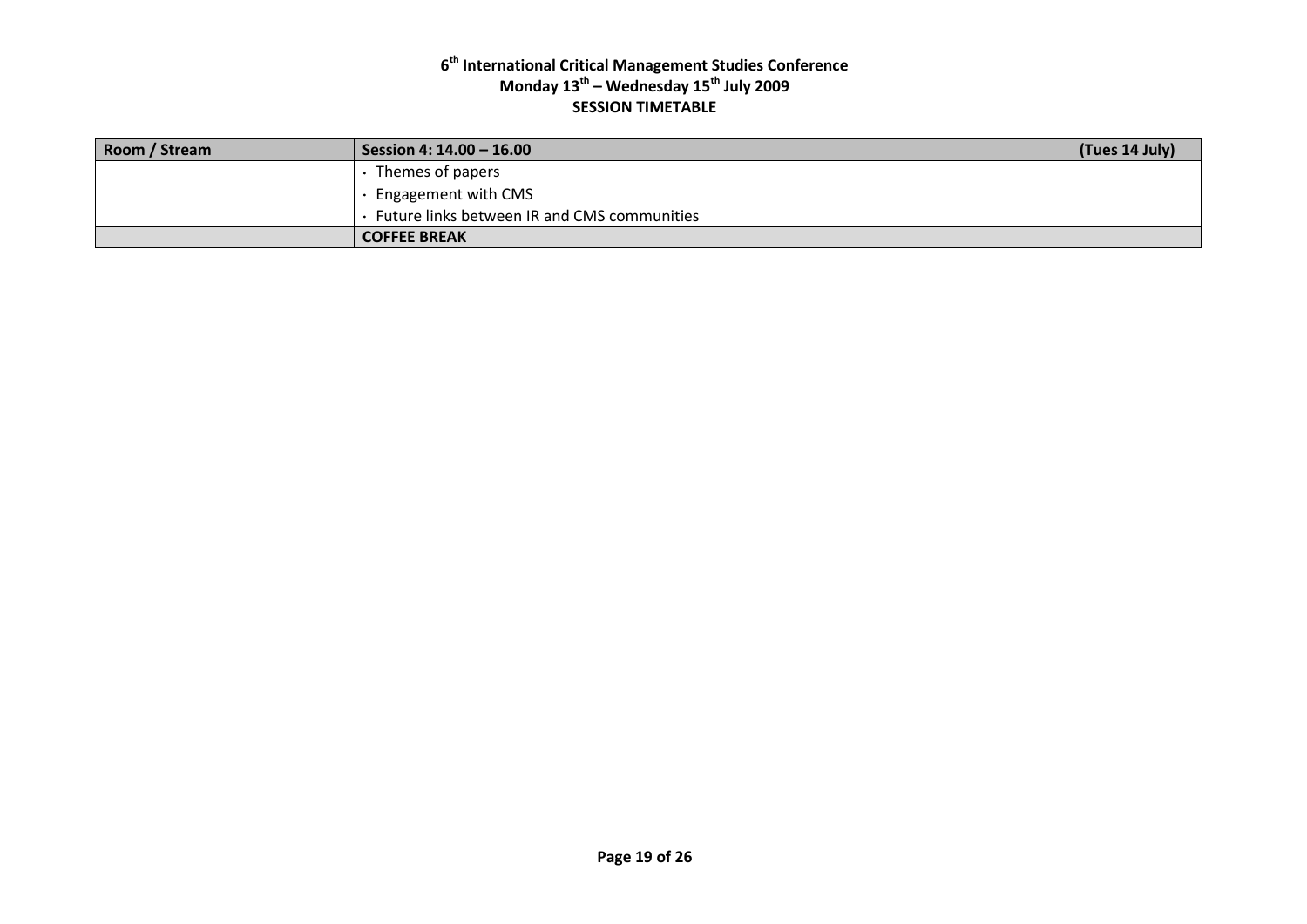| Room / Stream | Session 4: 14.00 - 16.00                    | (Tues 14 July) |
|---------------|---------------------------------------------|----------------|
|               | $\cdot$ Themes of papers                    |                |
|               | · Engagement with CMS                       |                |
|               | Future links between IR and CMS communities |                |
|               | <b>COFFEE BREAK</b>                         |                |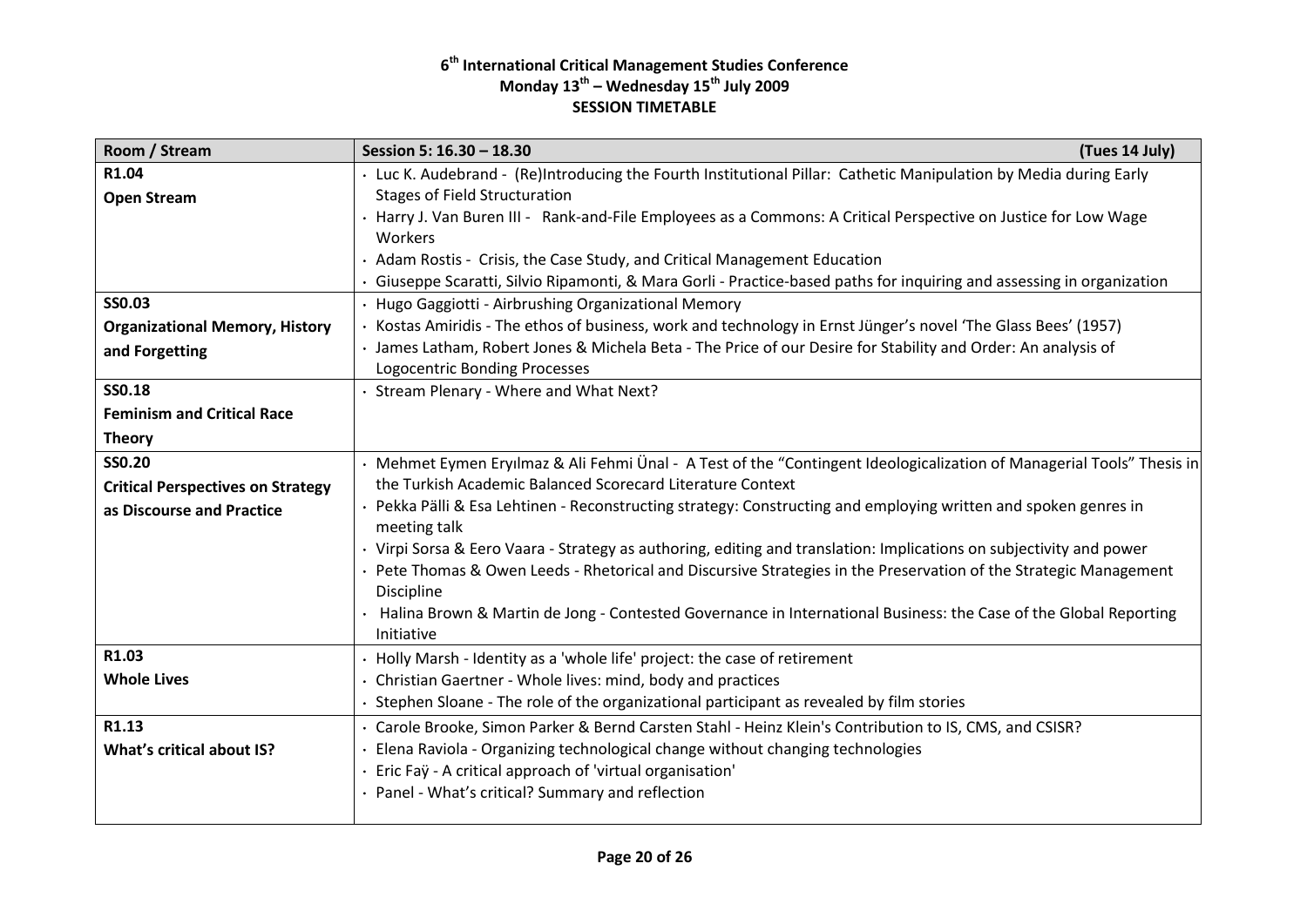| Room / Stream                            | Session 5: 16.30 - 18.30<br>(Tues 14 July)                                                                                       |
|------------------------------------------|----------------------------------------------------------------------------------------------------------------------------------|
| R1.04                                    | · Luc K. Audebrand - (Re)Introducing the Fourth Institutional Pillar: Cathetic Manipulation by Media during Early                |
| <b>Open Stream</b>                       | <b>Stages of Field Structuration</b>                                                                                             |
|                                          | · Harry J. Van Buren III - Rank-and-File Employees as a Commons: A Critical Perspective on Justice for Low Wage                  |
|                                          | Workers                                                                                                                          |
|                                          | · Adam Rostis - Crisis, the Case Study, and Critical Management Education                                                        |
|                                          | · Giuseppe Scaratti, Silvio Ripamonti, & Mara Gorli - Practice-based paths for inquiring and assessing in organization           |
| <b>SS0.03</b>                            | · Hugo Gaggiotti - Airbrushing Organizational Memory                                                                             |
| <b>Organizational Memory, History</b>    | Kostas Amiridis - The ethos of business, work and technology in Ernst Jünger's novel 'The Glass Bees' (1957)                     |
| and Forgetting                           | · James Latham, Robert Jones & Michela Beta - The Price of our Desire for Stability and Order: An analysis of                    |
|                                          | Logocentric Bonding Processes                                                                                                    |
| <b>SS0.18</b>                            | Stream Plenary - Where and What Next?                                                                                            |
| <b>Feminism and Critical Race</b>        |                                                                                                                                  |
| <b>Theory</b>                            |                                                                                                                                  |
| <b>SS0.20</b>                            | · Mehmet Eymen Eryılmaz & Ali Fehmi Ünal - A Test of the "Contingent Ideologicalization of Managerial Tools" Thesis in           |
| <b>Critical Perspectives on Strategy</b> | the Turkish Academic Balanced Scorecard Literature Context                                                                       |
| as Discourse and Practice                | Pekka Pälli & Esa Lehtinen - Reconstructing strategy: Constructing and employing written and spoken genres in<br>meeting talk    |
|                                          | · Virpi Sorsa & Eero Vaara - Strategy as authoring, editing and translation: Implications on subjectivity and power              |
|                                          | Pete Thomas & Owen Leeds - Rhetorical and Discursive Strategies in the Preservation of the Strategic Management<br>Discipline    |
|                                          | · Halina Brown & Martin de Jong - Contested Governance in International Business: the Case of the Global Reporting<br>Initiative |
| R1.03                                    | • Holly Marsh - Identity as a 'whole life' project: the case of retirement                                                       |
| <b>Whole Lives</b>                       | · Christian Gaertner - Whole lives: mind, body and practices                                                                     |
|                                          | Stephen Sloane - The role of the organizational participant as revealed by film stories                                          |
| R1.13                                    | · Carole Brooke, Simon Parker & Bernd Carsten Stahl - Heinz Klein's Contribution to IS, CMS, and CSISR?                          |
| What's critical about IS?                | Elena Raviola - Organizing technological change without changing technologies                                                    |
|                                          | · Eric Faÿ - A critical approach of 'virtual organisation'                                                                       |
|                                          | · Panel - What's critical? Summary and reflection                                                                                |
|                                          |                                                                                                                                  |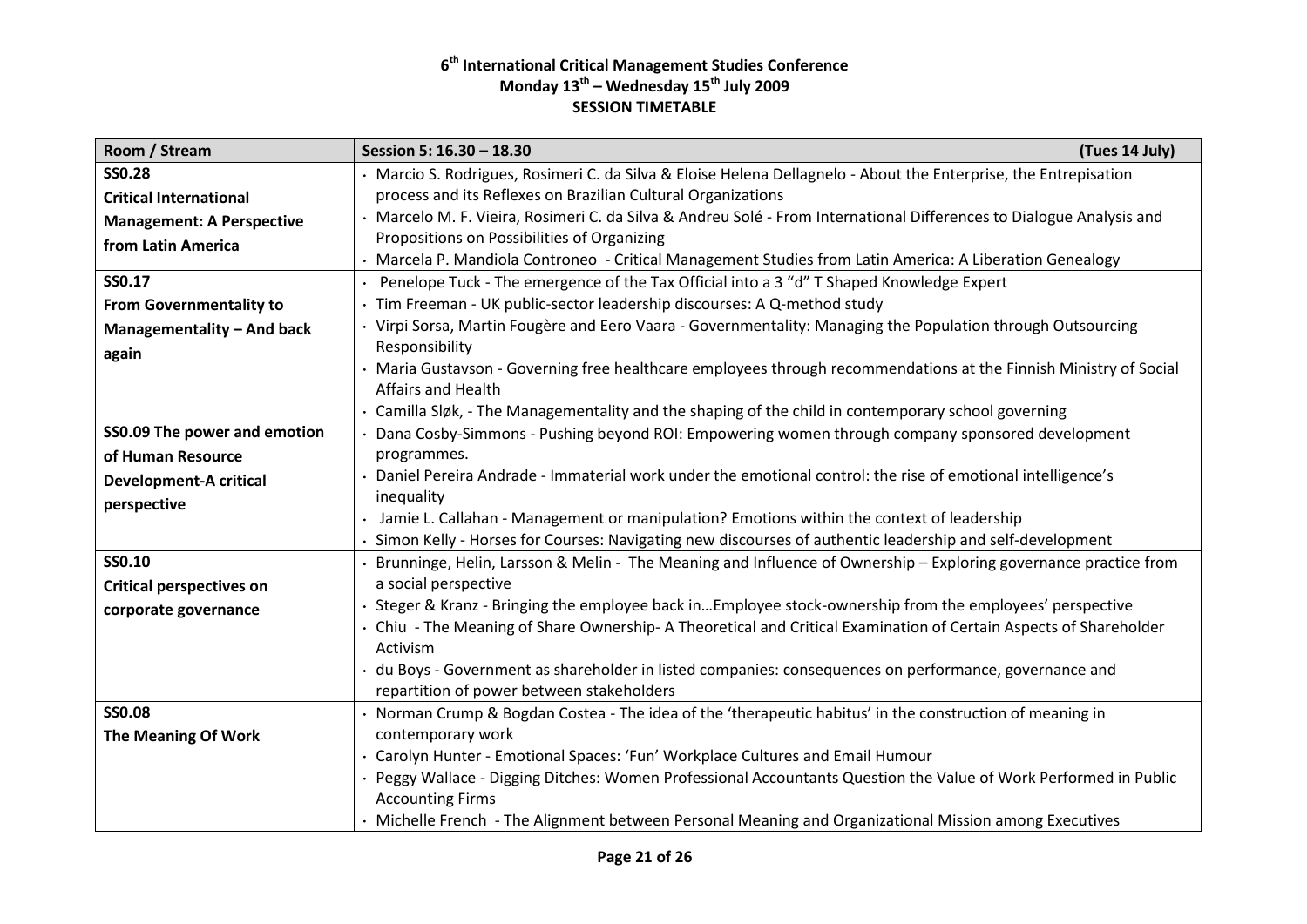| Room / Stream                    | Session 5: 16.30 - 18.30<br>(Tues 14 July)                                                                                     |
|----------------------------------|--------------------------------------------------------------------------------------------------------------------------------|
| <b>SS0.28</b>                    | · Marcio S. Rodrigues, Rosimeri C. da Silva & Eloise Helena Dellagnelo - About the Enterprise, the Entrepisation               |
| <b>Critical International</b>    | process and its Reflexes on Brazilian Cultural Organizations                                                                   |
| <b>Management: A Perspective</b> | · Marcelo M. F. Vieira, Rosimeri C. da Silva & Andreu Solé - From International Differences to Dialogue Analysis and           |
| from Latin America               | Propositions on Possibilities of Organizing                                                                                    |
|                                  | · Marcela P. Mandiola Controneo - Critical Management Studies from Latin America: A Liberation Genealogy                       |
| SS0.17                           | · Penelope Tuck - The emergence of the Tax Official into a 3 "d" T Shaped Knowledge Expert                                     |
| <b>From Governmentality to</b>   | Tim Freeman - UK public-sector leadership discourses: A Q-method study                                                         |
| Managementality - And back       | · Virpi Sorsa, Martin Fougère and Eero Vaara - Governmentality: Managing the Population through Outsourcing                    |
| again                            | Responsibility                                                                                                                 |
|                                  | · Maria Gustavson - Governing free healthcare employees through recommendations at the Finnish Ministry of Social              |
|                                  | Affairs and Health                                                                                                             |
|                                  | · Camilla Sløk, - The Managementality and the shaping of the child in contemporary school governing                            |
| SS0.09 The power and emotion     | · Dana Cosby-Simmons - Pushing beyond ROI: Empowering women through company sponsored development                              |
| of Human Resource                | programmes.                                                                                                                    |
| <b>Development-A critical</b>    | · Daniel Pereira Andrade - Immaterial work under the emotional control: the rise of emotional intelligence's                   |
| perspective                      | inequality                                                                                                                     |
|                                  | · Jamie L. Callahan - Management or manipulation? Emotions within the context of leadership                                    |
|                                  | Simon Kelly - Horses for Courses: Navigating new discourses of authentic leadership and self-development                       |
| SS0.10                           | Brunninge, Helin, Larsson & Melin - The Meaning and Influence of Ownership - Exploring governance practice from                |
| <b>Critical perspectives on</b>  | a social perspective<br>Steger & Kranz - Bringing the employee back inEmployee stock-ownership from the employees' perspective |
| corporate governance             | · Chiu - The Meaning of Share Ownership- A Theoretical and Critical Examination of Certain Aspects of Shareholder              |
|                                  | Activism                                                                                                                       |
|                                  | du Boys - Government as shareholder in listed companies: consequences on performance, governance and                           |
|                                  | repartition of power between stakeholders                                                                                      |
| <b>SS0.08</b>                    | Norman Crump & Bogdan Costea - The idea of the 'therapeutic habitus' in the construction of meaning in                         |
| The Meaning Of Work              | contemporary work                                                                                                              |
|                                  | · Carolyn Hunter - Emotional Spaces: 'Fun' Workplace Cultures and Email Humour                                                 |
|                                  | Peggy Wallace - Digging Ditches: Women Professional Accountants Question the Value of Work Performed in Public                 |
|                                  | <b>Accounting Firms</b>                                                                                                        |
|                                  | · Michelle French - The Alignment between Personal Meaning and Organizational Mission among Executives                         |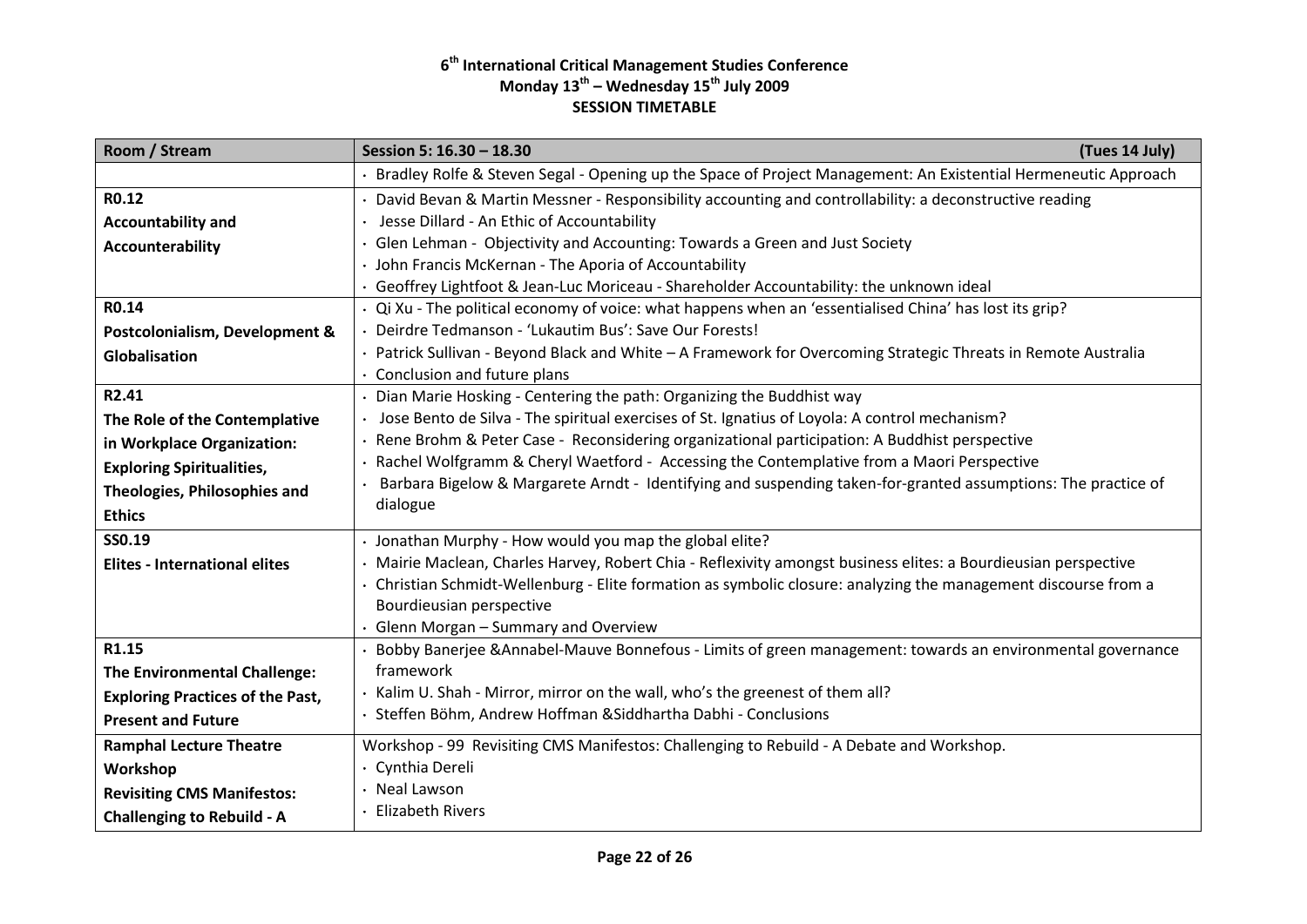| Room / Stream                           | (Tues 14 July)<br>Session 5: 16.30 - 18.30                                                                       |  |
|-----------------------------------------|------------------------------------------------------------------------------------------------------------------|--|
|                                         | · Bradley Rolfe & Steven Segal - Opening up the Space of Project Management: An Existential Hermeneutic Approach |  |
| R0.12                                   | · David Bevan & Martin Messner - Responsibility accounting and controllability: a deconstructive reading         |  |
| <b>Accountability and</b>               | Jesse Dillard - An Ethic of Accountability                                                                       |  |
| Accounterability                        | Glen Lehman - Objectivity and Accounting: Towards a Green and Just Society                                       |  |
|                                         | · John Francis McKernan - The Aporia of Accountability                                                           |  |
|                                         | · Geoffrey Lightfoot & Jean-Luc Moriceau - Shareholder Accountability: the unknown ideal                         |  |
| R0.14                                   | · Qi Xu - The political economy of voice: what happens when an 'essentialised China' has lost its grip?          |  |
| Postcolonialism, Development &          | · Deirdre Tedmanson - 'Lukautim Bus': Save Our Forests!                                                          |  |
| Globalisation                           | · Patrick Sullivan - Beyond Black and White - A Framework for Overcoming Strategic Threats in Remote Australia   |  |
|                                         | $\cdot$ Conclusion and future plans                                                                              |  |
| R2.41                                   | · Dian Marie Hosking - Centering the path: Organizing the Buddhist way                                           |  |
| The Role of the Contemplative           | Jose Bento de Silva - The spiritual exercises of St. Ignatius of Loyola: A control mechanism?                    |  |
| in Workplace Organization:              | Rene Brohm & Peter Case - Reconsidering organizational participation: A Buddhist perspective                     |  |
| <b>Exploring Spiritualities,</b>        | Rachel Wolfgramm & Cheryl Waetford - Accessing the Contemplative from a Maori Perspective                        |  |
| Theologies, Philosophies and            | Barbara Bigelow & Margarete Arndt - Identifying and suspending taken-for-granted assumptions: The practice of    |  |
| <b>Ethics</b>                           | dialogue                                                                                                         |  |
| SS0.19                                  | Jonathan Murphy - How would you map the global elite?                                                            |  |
| <b>Elites - International elites</b>    | Mairie Maclean, Charles Harvey, Robert Chia - Reflexivity amongst business elites: a Bourdieusian perspective    |  |
|                                         | Christian Schmidt-Wellenburg - Elite formation as symbolic closure: analyzing the management discourse from a    |  |
|                                         | Bourdieusian perspective                                                                                         |  |
|                                         | Glenn Morgan - Summary and Overview                                                                              |  |
| R1.15                                   | Bobby Banerjee & Annabel-Mauve Bonnefous - Limits of green management: towards an environmental governance       |  |
| The Environmental Challenge:            | framework                                                                                                        |  |
| <b>Exploring Practices of the Past,</b> | Kalim U. Shah - Mirror, mirror on the wall, who's the greenest of them all?                                      |  |
| <b>Present and Future</b>               | Steffen Böhm, Andrew Hoffman & Siddhartha Dabhi - Conclusions                                                    |  |
| <b>Ramphal Lecture Theatre</b>          | Workshop - 99 Revisiting CMS Manifestos: Challenging to Rebuild - A Debate and Workshop.                         |  |
| Workshop                                | Cynthia Dereli                                                                                                   |  |
| <b>Revisiting CMS Manifestos:</b>       | · Neal Lawson                                                                                                    |  |
| <b>Challenging to Rebuild - A</b>       | · Elizabeth Rivers                                                                                               |  |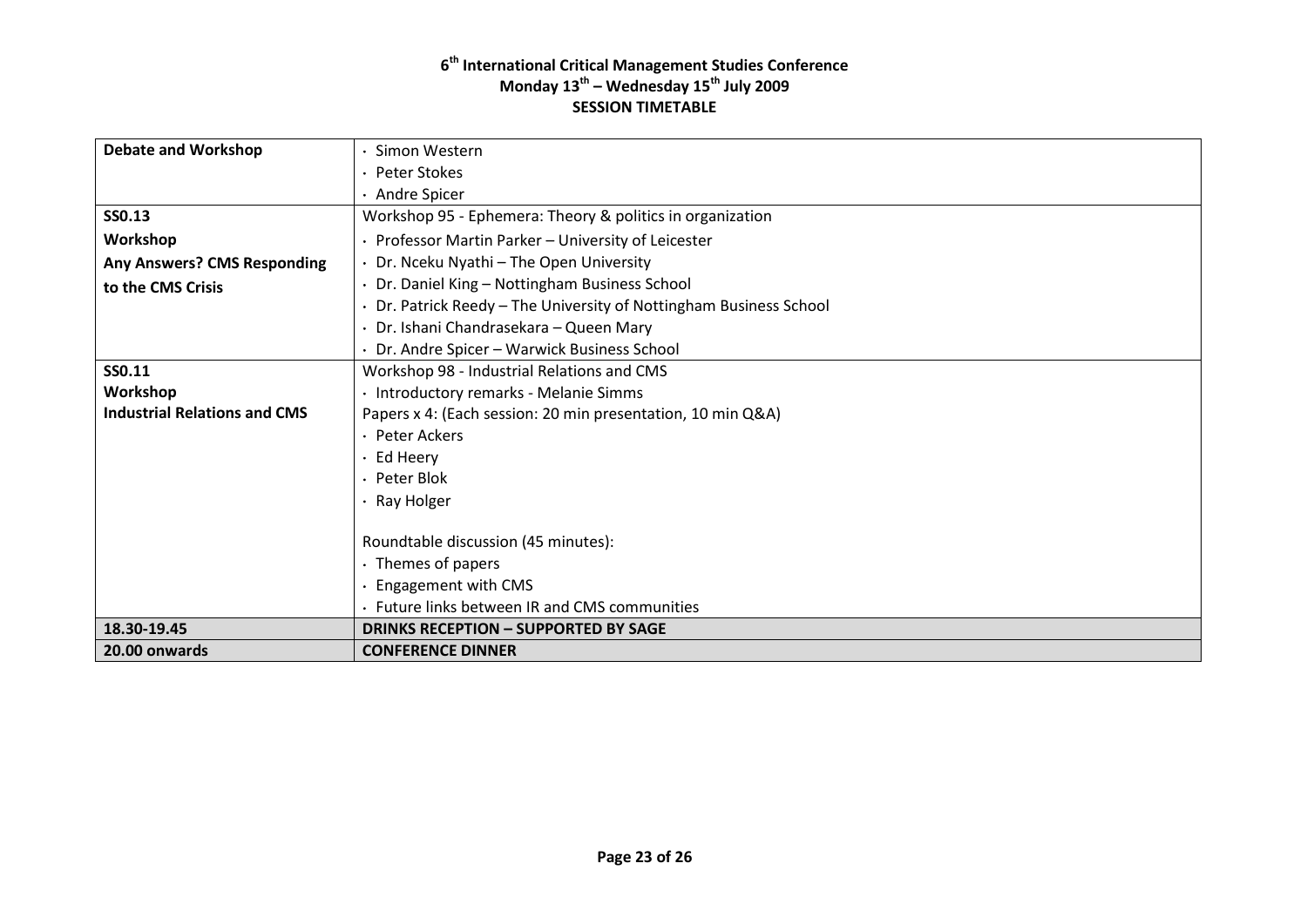| <b>Debate and Workshop</b>          | Simon Western                                                      |
|-------------------------------------|--------------------------------------------------------------------|
|                                     | · Peter Stokes                                                     |
|                                     | · Andre Spicer                                                     |
| SS0.13                              | Workshop 95 - Ephemera: Theory & politics in organization          |
| Workshop                            | Professor Martin Parker - University of Leicester                  |
| <b>Any Answers? CMS Responding</b>  | · Dr. Nceku Nyathi - The Open University                           |
| to the CMS Crisis                   | · Dr. Daniel King - Nottingham Business School                     |
|                                     | · Dr. Patrick Reedy - The University of Nottingham Business School |
|                                     | · Dr. Ishani Chandrasekara - Queen Mary                            |
|                                     | · Dr. Andre Spicer - Warwick Business School                       |
| SS0.11                              | Workshop 98 - Industrial Relations and CMS                         |
| Workshop                            | · Introductory remarks - Melanie Simms                             |
| <b>Industrial Relations and CMS</b> | Papers x 4: (Each session: 20 min presentation, 10 min Q&A)        |
|                                     | · Peter Ackers                                                     |
|                                     | $\cdot$ Ed Heery                                                   |
|                                     | · Peter Blok                                                       |
|                                     | $\cdot$ Ray Holger                                                 |
|                                     | Roundtable discussion (45 minutes):                                |
|                                     | $\cdot$ Themes of papers                                           |
|                                     | · Engagement with CMS                                              |
|                                     | • Future links between IR and CMS communities                      |
| 18.30-19.45                         | <b>DRINKS RECEPTION - SUPPORTED BY SAGE</b>                        |
| 20.00 onwards                       | <b>CONFERENCE DINNER</b>                                           |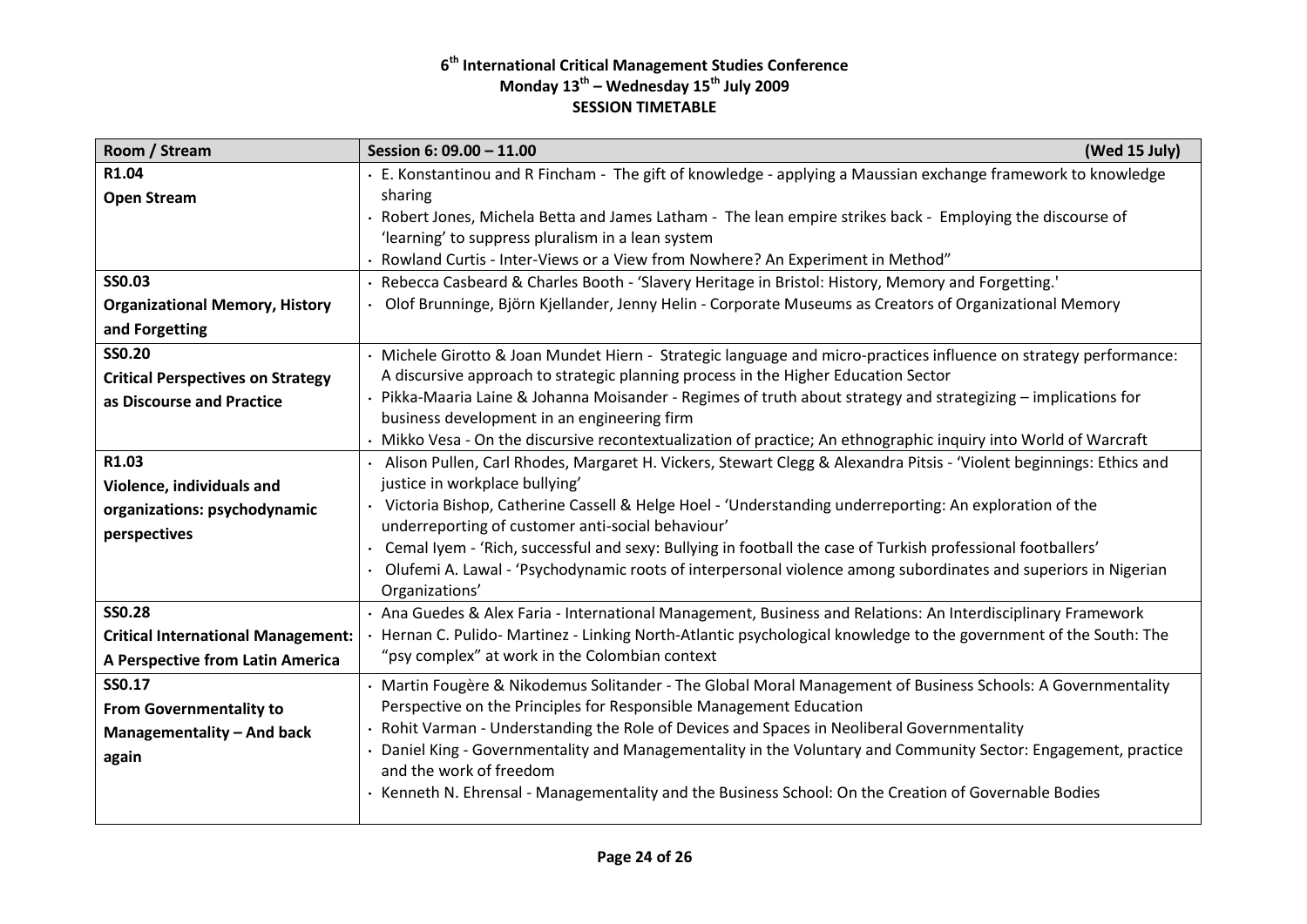| Room / Stream                             | Session 6: 09.00 - 11.00<br>(Wed 15 July)                                                                                                                         |
|-------------------------------------------|-------------------------------------------------------------------------------------------------------------------------------------------------------------------|
| R1.04                                     | E. Konstantinou and R Fincham - The gift of knowledge - applying a Maussian exchange framework to knowledge                                                       |
| <b>Open Stream</b>                        | sharing                                                                                                                                                           |
|                                           | Robert Jones, Michela Betta and James Latham - The lean empire strikes back - Employing the discourse of                                                          |
|                                           | 'learning' to suppress pluralism in a lean system                                                                                                                 |
|                                           | · Rowland Curtis - Inter-Views or a View from Nowhere? An Experiment in Method"                                                                                   |
| <b>SS0.03</b>                             | Rebecca Casbeard & Charles Booth - 'Slavery Heritage in Bristol: History, Memory and Forgetting.'                                                                 |
| <b>Organizational Memory, History</b>     | · Olof Brunninge, Björn Kjellander, Jenny Helin - Corporate Museums as Creators of Organizational Memory                                                          |
| and Forgetting                            |                                                                                                                                                                   |
| <b>SS0.20</b>                             | · Michele Girotto & Joan Mundet Hiern - Strategic language and micro-practices influence on strategy performance:                                                 |
| <b>Critical Perspectives on Strategy</b>  | A discursive approach to strategic planning process in the Higher Education Sector                                                                                |
| as Discourse and Practice                 | · Pikka-Maaria Laine & Johanna Moisander - Regimes of truth about strategy and strategizing – implications for                                                    |
|                                           | business development in an engineering firm                                                                                                                       |
|                                           | · Mikko Vesa - On the discursive recontextualization of practice; An ethnographic inquiry into World of Warcraft                                                  |
| R1.03                                     | Alison Pullen, Carl Rhodes, Margaret H. Vickers, Stewart Clegg & Alexandra Pitsis - 'Violent beginnings: Ethics and                                               |
| Violence, individuals and                 | justice in workplace bullying'                                                                                                                                    |
| organizations: psychodynamic              | · Victoria Bishop, Catherine Cassell & Helge Hoel - 'Understanding underreporting: An exploration of the                                                          |
| perspectives                              | underreporting of customer anti-social behaviour'                                                                                                                 |
|                                           | Cemal Iyem - 'Rich, successful and sexy: Bullying in football the case of Turkish professional footballers'                                                       |
|                                           | Olufemi A. Lawal - 'Psychodynamic roots of interpersonal violence among subordinates and superiors in Nigerian                                                    |
| <b>SS0.28</b>                             | Organizations'                                                                                                                                                    |
|                                           | · Ana Guedes & Alex Faria - International Management, Business and Relations: An Interdisciplinary Framework                                                      |
| <b>Critical International Management:</b> | Hernan C. Pulido- Martinez - Linking North-Atlantic psychological knowledge to the government of the South: The<br>"psy complex" at work in the Colombian context |
| A Perspective from Latin America          |                                                                                                                                                                   |
| SS0.17                                    | · Martin Fougère & Nikodemus Solitander - The Global Moral Management of Business Schools: A Governmentality                                                      |
| <b>From Governmentality to</b>            | Perspective on the Principles for Responsible Management Education                                                                                                |
| Managementality - And back                | · Rohit Varman - Understanding the Role of Devices and Spaces in Neoliberal Governmentality                                                                       |
| again                                     | Daniel King - Governmentality and Managementality in the Voluntary and Community Sector: Engagement, practice                                                     |
|                                           | and the work of freedom                                                                                                                                           |
|                                           | · Kenneth N. Ehrensal - Managementality and the Business School: On the Creation of Governable Bodies                                                             |
|                                           |                                                                                                                                                                   |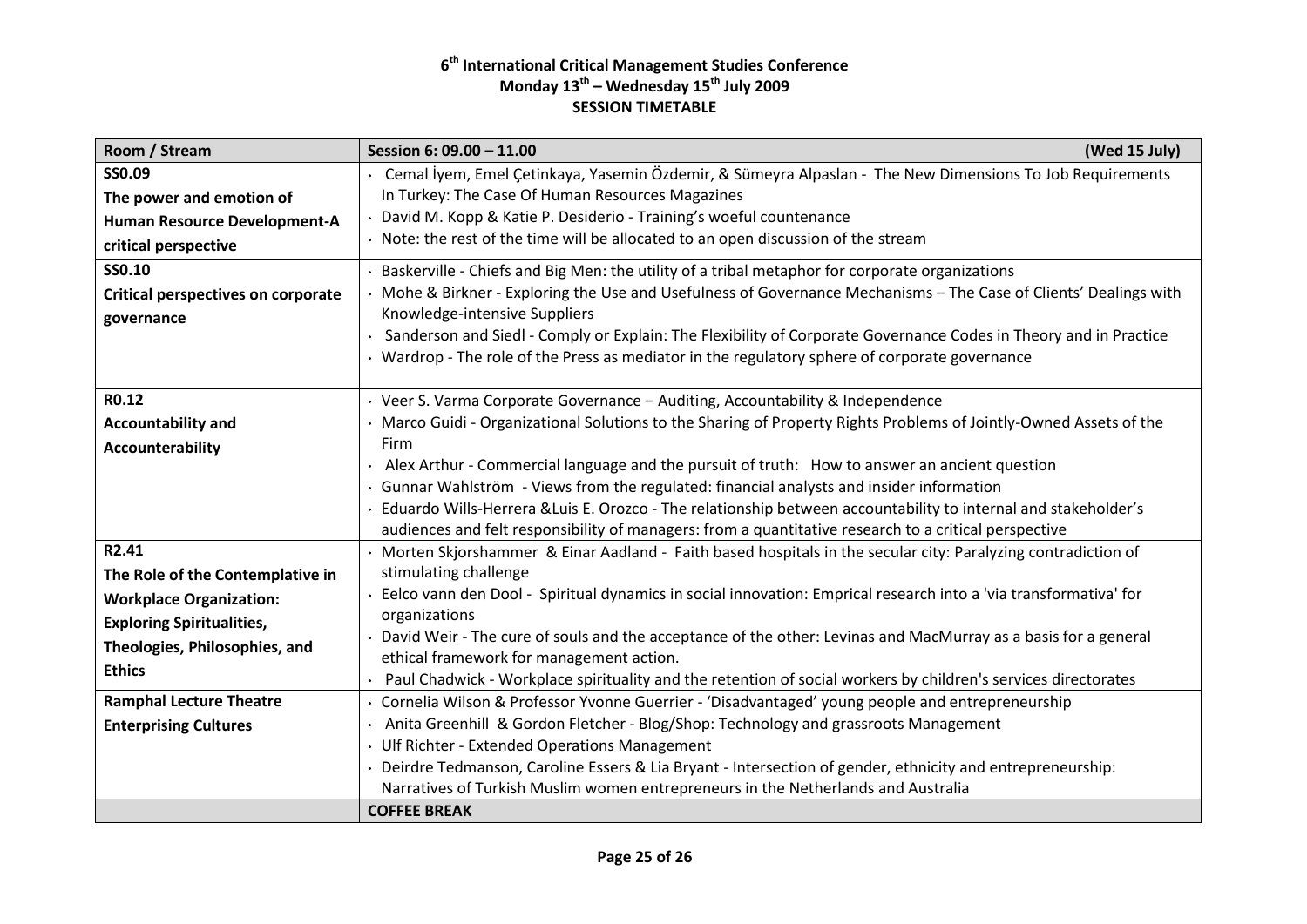| Room / Stream                             | Session 6: 09.00 - 11.00<br>(Wed 15 July)                                                                                                                  |
|-------------------------------------------|------------------------------------------------------------------------------------------------------------------------------------------------------------|
| SS0.09                                    | · Cemal İyem, Emel Çetinkaya, Yasemin Özdemir, & Sümeyra Alpaslan - The New Dimensions To Job Requirements                                                 |
| The power and emotion of                  | In Turkey: The Case Of Human Resources Magazines                                                                                                           |
| Human Resource Development-A              | David M. Kopp & Katie P. Desiderio - Training's woeful countenance                                                                                         |
| critical perspective                      | • Note: the rest of the time will be allocated to an open discussion of the stream                                                                         |
| SS0.10                                    | · Baskerville - Chiefs and Big Men: the utility of a tribal metaphor for corporate organizations                                                           |
| <b>Critical perspectives on corporate</b> | · Mohe & Birkner - Exploring the Use and Usefulness of Governance Mechanisms - The Case of Clients' Dealings with                                          |
| governance                                | Knowledge-intensive Suppliers                                                                                                                              |
|                                           | Sanderson and Siedl - Comply or Explain: The Flexibility of Corporate Governance Codes in Theory and in Practice                                           |
|                                           | • Wardrop - The role of the Press as mediator in the regulatory sphere of corporate governance                                                             |
| R0.12                                     | · Veer S. Varma Corporate Governance - Auditing, Accountability & Independence                                                                             |
| <b>Accountability and</b>                 | · Marco Guidi - Organizational Solutions to the Sharing of Property Rights Problems of Jointly-Owned Assets of the                                         |
| Accounterability                          | Firm                                                                                                                                                       |
|                                           | • Alex Arthur - Commercial language and the pursuit of truth: How to answer an ancient question                                                            |
|                                           | · Gunnar Wahlström - Views from the regulated: financial analysts and insider information                                                                  |
|                                           | Eduardo Wills-Herrera & Luis E. Orozco - The relationship between accountability to internal and stakeholder's                                             |
|                                           | audiences and felt responsibility of managers: from a quantitative research to a critical perspective                                                      |
| R2.41                                     | · Morten Skjorshammer & Einar Aadland - Faith based hospitals in the secular city: Paralyzing contradiction of                                             |
| The Role of the Contemplative in          | stimulating challenge                                                                                                                                      |
| <b>Workplace Organization:</b>            | Eelco vann den Dool - Spiritual dynamics in social innovation: Emprical research into a 'via transformativa' for                                           |
| <b>Exploring Spiritualities,</b>          | organizations                                                                                                                                              |
| Theologies, Philosophies, and             | David Weir - The cure of souls and the acceptance of the other: Levinas and MacMurray as a basis for a general<br>ethical framework for management action. |
| <b>Ethics</b>                             | Paul Chadwick - Workplace spirituality and the retention of social workers by children's services directorates                                             |
| <b>Ramphal Lecture Theatre</b>            | · Cornelia Wilson & Professor Yvonne Guerrier - 'Disadvantaged' young people and entrepreneurship                                                          |
| <b>Enterprising Cultures</b>              | • Anita Greenhill & Gordon Fletcher - Blog/Shop: Technology and grassroots Management                                                                      |
|                                           | · Ulf Richter - Extended Operations Management                                                                                                             |
|                                           | Deirdre Tedmanson, Caroline Essers & Lia Bryant - Intersection of gender, ethnicity and entrepreneurship:                                                  |
|                                           | Narratives of Turkish Muslim women entrepreneurs in the Netherlands and Australia                                                                          |
|                                           | <b>COFFEE BREAK</b>                                                                                                                                        |